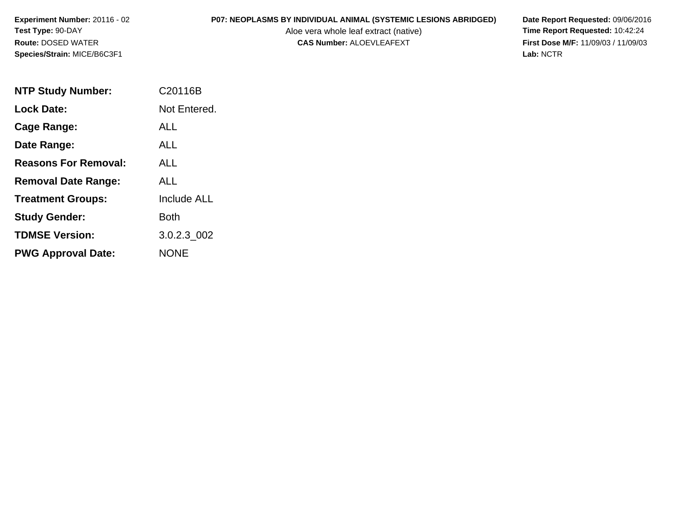Aloe vera whole leaf extract (native)<br>**CAS Number:** ALOEVLEAFEXT

| <b>NTP Study Number:</b>    | C <sub>20116</sub> B |
|-----------------------------|----------------------|
| Lock Date:                  | Not Entered.         |
| Cage Range:                 | ALL                  |
| Date Range:                 | ALL                  |
| <b>Reasons For Removal:</b> | ALL.                 |
| <b>Removal Date Range:</b>  | AI I                 |
| <b>Treatment Groups:</b>    | <b>Include ALL</b>   |
| <b>Study Gender:</b>        | <b>Both</b>          |
| <b>TDMSE Version:</b>       | 3.0.2.3_002          |
| <b>PWG Approval Date:</b>   | <b>NONE</b>          |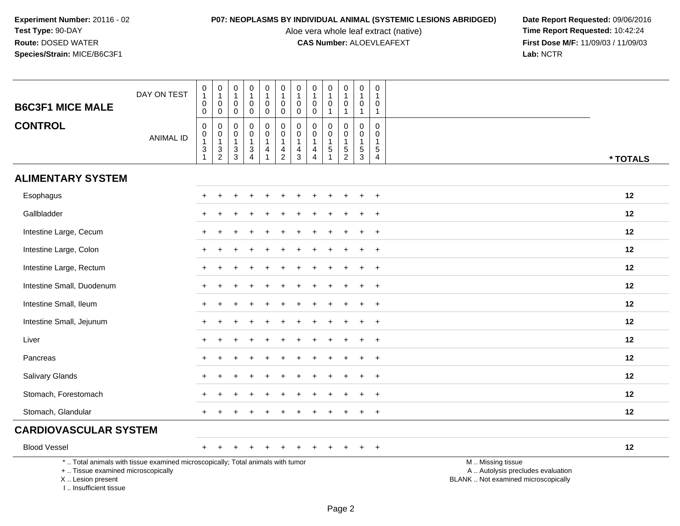Aloe vera whole leaf extract (native)<br>**CAS Number:** ALOEVLEAFEXT

| <b>B6C3F1 MICE MALE</b>                                                          | DAY ON TEST                                                                     | $\mathbf 0$<br>$\mathbf{1}$<br>$\mathsf{O}\xspace$<br>$\mathbf 0$                       | $\mathbf 0$<br>$\overline{1}$<br>$\mathbf 0$<br>$\mathsf{O}\xspace$ | $\pmb{0}$<br>$\mathbf{1}$<br>$\mathbf 0$<br>$\mathbf 0$                 | $\mathbf 0$<br>1<br>$\pmb{0}$<br>$\mathbf 0$                                 | $\pmb{0}$<br>$\mathbf{1}$<br>$\mathbf 0$<br>0                              | $\mathsf 0$<br>$\mathbf{1}$<br>$\pmb{0}$<br>$\mathbf 0$                    | $\pmb{0}$<br>$\mathbf{1}$<br>$\mathsf{O}\xspace$<br>$\mathbf 0$  | $\pmb{0}$<br>$\mathbf{1}$<br>$\pmb{0}$<br>$\mathbf 0$              | $\pmb{0}$<br>$\mathbf{1}$<br>$\mathbf{0}$<br>$\mathbf{1}$           | $\pmb{0}$<br>$\mathbf{1}$<br>$\pmb{0}$<br>1                       | $\pmb{0}$<br>$\mathbf{1}$<br>$\pmb{0}$<br>$\mathbf{1}$  | $\mathbf 0$<br>$\mathbf{1}$<br>$\Omega$<br>$\mathbf{1}$           |                                                                                               |
|----------------------------------------------------------------------------------|---------------------------------------------------------------------------------|-----------------------------------------------------------------------------------------|---------------------------------------------------------------------|-------------------------------------------------------------------------|------------------------------------------------------------------------------|----------------------------------------------------------------------------|----------------------------------------------------------------------------|------------------------------------------------------------------|--------------------------------------------------------------------|---------------------------------------------------------------------|-------------------------------------------------------------------|---------------------------------------------------------|-------------------------------------------------------------------|-----------------------------------------------------------------------------------------------|
| <b>CONTROL</b>                                                                   | <b>ANIMAL ID</b>                                                                | $\mathbf 0$<br>$\mathbf 0$<br>$\mathbf{1}$<br>$\ensuremath{\mathsf{3}}$<br>$\mathbf{1}$ | $\boldsymbol{0}$<br>$\overline{0}$<br>1<br>$\frac{3}{2}$            | $\mathbf 0$<br>$\pmb{0}$<br>$\mathbf{1}$<br>$\mathsf 3$<br>$\mathbf{3}$ | $\mathbf 0$<br>$\mathbf 0$<br>$\mathbf{1}$<br>$\ensuremath{\mathsf{3}}$<br>4 | 0<br>$\mathsf{O}\xspace$<br>$\mathbf{1}$<br>$\overline{4}$<br>$\mathbf{1}$ | $\pmb{0}$<br>$\pmb{0}$<br>$\mathbf{1}$<br>$\overline{4}$<br>$\overline{2}$ | 0<br>$\pmb{0}$<br>$\mathbf{1}$<br>$\overline{4}$<br>$\mathbf{3}$ | 0<br>$\pmb{0}$<br>$\mathbf{1}$<br>$\overline{4}$<br>$\overline{4}$ | 0<br>$\mathbf 0$<br>$\overline{1}$<br>$\,$ 5 $\,$<br>$\overline{1}$ | 0<br>$\mathbf 0$<br>$\mathbf{1}$<br>$\,$ 5 $\,$<br>$\overline{c}$ | 0<br>$\mathbf 0$<br>$\mathbf{1}$<br>$\overline{5}$<br>3 | $\mathbf 0$<br>$\mathbf 0$<br>$\mathbf{1}$<br>5<br>$\overline{4}$ | * TOTALS                                                                                      |
| <b>ALIMENTARY SYSTEM</b>                                                         |                                                                                 |                                                                                         |                                                                     |                                                                         |                                                                              |                                                                            |                                                                            |                                                                  |                                                                    |                                                                     |                                                                   |                                                         |                                                                   |                                                                                               |
| Esophagus                                                                        |                                                                                 |                                                                                         |                                                                     |                                                                         |                                                                              |                                                                            |                                                                            |                                                                  |                                                                    |                                                                     |                                                                   |                                                         | $\ddot{}$                                                         | 12                                                                                            |
| Gallbladder                                                                      |                                                                                 |                                                                                         |                                                                     |                                                                         |                                                                              |                                                                            |                                                                            |                                                                  |                                                                    |                                                                     |                                                                   |                                                         | $\ddot{}$                                                         | 12                                                                                            |
| Intestine Large, Cecum                                                           |                                                                                 |                                                                                         |                                                                     |                                                                         |                                                                              |                                                                            |                                                                            |                                                                  |                                                                    |                                                                     |                                                                   |                                                         | $\overline{ }$                                                    | 12                                                                                            |
| Intestine Large, Colon                                                           |                                                                                 |                                                                                         |                                                                     |                                                                         |                                                                              |                                                                            |                                                                            |                                                                  |                                                                    |                                                                     |                                                                   | ÷                                                       | $\ddot{}$                                                         | 12                                                                                            |
| Intestine Large, Rectum                                                          |                                                                                 |                                                                                         |                                                                     |                                                                         |                                                                              |                                                                            |                                                                            |                                                                  |                                                                    |                                                                     |                                                                   |                                                         | $\overline{+}$                                                    | 12                                                                                            |
| Intestine Small, Duodenum                                                        |                                                                                 |                                                                                         |                                                                     |                                                                         |                                                                              |                                                                            |                                                                            |                                                                  |                                                                    |                                                                     |                                                                   |                                                         | $\ddot{}$                                                         | 12                                                                                            |
| Intestine Small, Ileum                                                           |                                                                                 | $\div$                                                                                  |                                                                     |                                                                         |                                                                              |                                                                            |                                                                            |                                                                  |                                                                    |                                                                     |                                                                   |                                                         | $\ddot{}$                                                         | 12                                                                                            |
| Intestine Small, Jejunum                                                         |                                                                                 |                                                                                         |                                                                     |                                                                         |                                                                              |                                                                            |                                                                            |                                                                  |                                                                    |                                                                     |                                                                   |                                                         | $\ddot{}$                                                         | 12                                                                                            |
| Liver                                                                            |                                                                                 |                                                                                         |                                                                     |                                                                         |                                                                              |                                                                            |                                                                            |                                                                  |                                                                    |                                                                     |                                                                   |                                                         | $\ddot{}$                                                         | 12                                                                                            |
| Pancreas                                                                         |                                                                                 |                                                                                         |                                                                     |                                                                         |                                                                              |                                                                            |                                                                            |                                                                  |                                                                    |                                                                     |                                                                   |                                                         | $\ddot{}$                                                         | 12                                                                                            |
| Salivary Glands                                                                  |                                                                                 |                                                                                         |                                                                     |                                                                         |                                                                              |                                                                            |                                                                            |                                                                  |                                                                    |                                                                     |                                                                   |                                                         | $\overline{+}$                                                    | 12                                                                                            |
| Stomach, Forestomach                                                             |                                                                                 |                                                                                         |                                                                     |                                                                         |                                                                              |                                                                            |                                                                            |                                                                  |                                                                    |                                                                     |                                                                   |                                                         | $\overline{+}$                                                    | 12                                                                                            |
| Stomach, Glandular                                                               |                                                                                 |                                                                                         |                                                                     |                                                                         |                                                                              |                                                                            |                                                                            |                                                                  |                                                                    |                                                                     |                                                                   |                                                         | $\overline{+}$                                                    | 12                                                                                            |
| <b>CARDIOVASCULAR SYSTEM</b>                                                     |                                                                                 |                                                                                         |                                                                     |                                                                         |                                                                              |                                                                            |                                                                            |                                                                  |                                                                    |                                                                     |                                                                   |                                                         |                                                                   |                                                                                               |
| <b>Blood Vessel</b>                                                              |                                                                                 | $+$                                                                                     |                                                                     |                                                                         |                                                                              |                                                                            |                                                                            |                                                                  |                                                                    |                                                                     |                                                                   | $\ddot{}$                                               | $+$                                                               | 12                                                                                            |
| +  Tissue examined microscopically<br>X  Lesion present<br>I Insufficient tissue | *  Total animals with tissue examined microscopically; Total animals with tumor |                                                                                         |                                                                     |                                                                         |                                                                              |                                                                            |                                                                            |                                                                  |                                                                    |                                                                     |                                                                   |                                                         |                                                                   | M  Missing tissue<br>A  Autolysis precludes evaluation<br>BLANK  Not examined microscopically |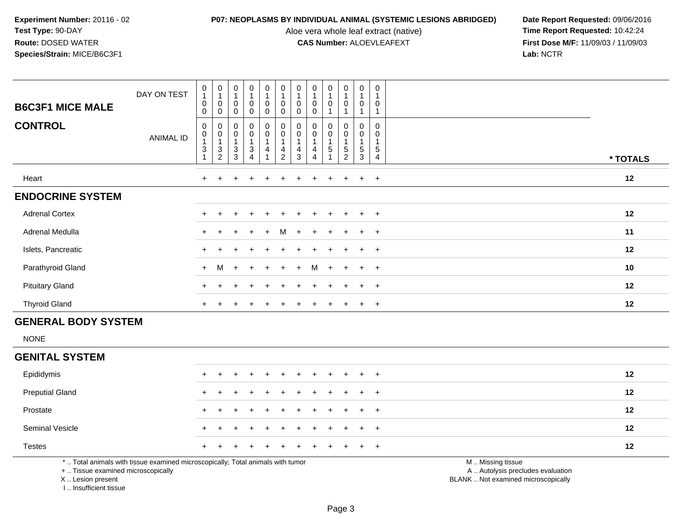Aloe vera whole leaf extract (native)<br>**CAS Number:** ALOEVLEAFEXT

**P07: NEOPLASMS BY INDIVIDUAL ANIMAL (SYSTEMIC LESIONS ABRIDGED)** Date Report Requested: 09/06/2016<br>Aloe vera whole leaf extract (native) **Time Report Requested:** 10:42:24 **First Dose M/F:** 11/09/03 / 11/09/03<br>Lab: NCTR **Lab:** NCTR

| <b>B6C3F1 MICE MALE</b><br><b>CONTROL</b> | DAY ON TEST<br><b>ANIMAL ID</b> | $\begin{smallmatrix}0\1\end{smallmatrix}$<br>$\,0\,$<br>$\mathbf 0$<br>0<br>$\mathbf 0$<br>1<br>$\ensuremath{\mathsf{3}}$ | $\begin{smallmatrix}0\\1\end{smallmatrix}$<br>$\pmb{0}$<br>$\mathbf 0$<br>$_{\rm 0}^{\rm 0}$<br>1<br>$\frac{3}{2}$ | $\begin{smallmatrix}0\\1\end{smallmatrix}$<br>$\pmb{0}$<br>$\mathbf 0$<br>$_{\rm 0}^{\rm 0}$<br>$\mathbf{1}$<br>$_3^3$ | $\frac{0}{4}$<br>0<br>$\mathbf 0$<br>$\overline{0}$<br>$\bar{0}$<br>3<br>$\overline{4}$ | $\frac{0}{1}$<br>$\pmb{0}$<br>$\Omega$<br>0<br>$\bar{0}$<br>4 | $\frac{0}{1}$<br>$\pmb{0}$<br>0<br>$_{\rm 0}^{\rm 0}$<br>4<br>$\overline{c}$ | $\begin{smallmatrix}0\\1\end{smallmatrix}$<br>$\pmb{0}$<br>$\pmb{0}$<br>$\begin{smallmatrix} 0\\0 \end{smallmatrix}$<br>$\overline{\mathbf{4}}$<br>$\sqrt{3}$ | $\begin{smallmatrix}0\\1\end{smallmatrix}$<br>$\pmb{0}$<br>$\Omega$<br>$_{\rm 0}^{\rm 0}$<br>$\mathbf{1}$<br>$\overline{\mathbf{r}}$<br>$\overline{4}$ | $\mathbf 0$<br>0<br>0<br>$\pmb{0}$<br>5 | $\begin{smallmatrix}0\\1\end{smallmatrix}$<br>$\pmb{0}$<br>$\begin{smallmatrix}0\0\0\end{smallmatrix}$<br>$\,$ 5 $\,$<br>$\overline{c}$ | $\pmb{0}$<br>$\pmb{0}$<br>0<br>$\overline{0}$<br>$\,$ 5 $\,$<br>$\mathbf{3}$ | $\mathbf 0$<br>$\mathbf 0$<br>$\mathbf 0$<br>$\mathbf 0$<br>$\sqrt{5}$<br>$\overline{4}$ | * TOTALS |
|-------------------------------------------|---------------------------------|---------------------------------------------------------------------------------------------------------------------------|--------------------------------------------------------------------------------------------------------------------|------------------------------------------------------------------------------------------------------------------------|-----------------------------------------------------------------------------------------|---------------------------------------------------------------|------------------------------------------------------------------------------|---------------------------------------------------------------------------------------------------------------------------------------------------------------|--------------------------------------------------------------------------------------------------------------------------------------------------------|-----------------------------------------|-----------------------------------------------------------------------------------------------------------------------------------------|------------------------------------------------------------------------------|------------------------------------------------------------------------------------------|----------|
| Heart                                     |                                 | $+$                                                                                                                       | $\ddot{}$                                                                                                          | $\ddot{}$                                                                                                              | $\div$                                                                                  | $\pm$                                                         | $\pm$                                                                        | $\pm$                                                                                                                                                         | $\pm$                                                                                                                                                  | $\div$                                  | $+$                                                                                                                                     | $+$                                                                          | $+$                                                                                      | 12       |
| <b>ENDOCRINE SYSTEM</b>                   |                                 |                                                                                                                           |                                                                                                                    |                                                                                                                        |                                                                                         |                                                               |                                                                              |                                                                                                                                                               |                                                                                                                                                        |                                         |                                                                                                                                         |                                                                              |                                                                                          |          |
| <b>Adrenal Cortex</b>                     |                                 | $\pm$                                                                                                                     |                                                                                                                    |                                                                                                                        |                                                                                         |                                                               |                                                                              |                                                                                                                                                               |                                                                                                                                                        |                                         |                                                                                                                                         | $+$                                                                          | $+$                                                                                      | 12       |
| Adrenal Medulla                           |                                 | $+$                                                                                                                       |                                                                                                                    | $\ddot{}$                                                                                                              | $+$                                                                                     | $+$                                                           | M                                                                            | $+$                                                                                                                                                           | $+$                                                                                                                                                    | $+$                                     | $+$                                                                                                                                     | $+$                                                                          | $+$                                                                                      | 11       |
| Islets, Pancreatic                        |                                 | $+$                                                                                                                       |                                                                                                                    |                                                                                                                        | $\div$                                                                                  | $+$                                                           | $+$                                                                          |                                                                                                                                                               | $+$                                                                                                                                                    | $\ddot{}$                               | $+$                                                                                                                                     | $+$                                                                          | $+$                                                                                      | 12       |
| Parathyroid Gland                         |                                 | $+$                                                                                                                       | M                                                                                                                  | $+$                                                                                                                    | $+$                                                                                     | $+$                                                           | $+$                                                                          | $+$                                                                                                                                                           | M                                                                                                                                                      | $+$                                     | $+$                                                                                                                                     | $+$                                                                          | $+$                                                                                      | 10       |
| <b>Pituitary Gland</b>                    |                                 | $+$                                                                                                                       |                                                                                                                    |                                                                                                                        | $\div$                                                                                  |                                                               | ÷                                                                            |                                                                                                                                                               | $\pm$                                                                                                                                                  |                                         | $+$                                                                                                                                     | $+$                                                                          | $+$                                                                                      | 12       |
| <b>Thyroid Gland</b>                      |                                 | $+$                                                                                                                       |                                                                                                                    |                                                                                                                        |                                                                                         |                                                               |                                                                              |                                                                                                                                                               |                                                                                                                                                        |                                         |                                                                                                                                         | $\pm$                                                                        | $+$                                                                                      | 12       |

# **GENERAL BODY SYSTEM**

NONE

## **GENITAL SYSTEM**

| Epididymis                                                                                                                    |  | + + + + + + + + + + + |  |  |  |  |                                      | 12 |
|-------------------------------------------------------------------------------------------------------------------------------|--|-----------------------|--|--|--|--|--------------------------------------|----|
| <b>Preputial Gland</b>                                                                                                        |  | + + + + + + + + + + + |  |  |  |  |                                      | 12 |
| Prostate                                                                                                                      |  | + + + + + + + + + + + |  |  |  |  |                                      | 12 |
| <b>Seminal Vesicle</b>                                                                                                        |  | + + + + + + + + + + + |  |  |  |  |                                      | 12 |
| <b>Testes</b>                                                                                                                 |  | + + + + + + + + + + + |  |  |  |  |                                      | 12 |
| $\bullet$ . The contract of the contract of the contract of the contract of the Transition of the contract of the contract of |  |                       |  |  |  |  | <b>AA</b> AA's a family and a series |    |

\* .. Total animals with tissue examined microscopically; Total animals with tumor

+ .. Tissue examined microscopically

X .. Lesion present

I .. Insufficient tissue

M .. Missing tissue

y the contract of the contract of the contract of the contract of the contract of the contract of the contract of  $A$ . Autolysis precludes evaluation

Lesion present BLANK .. Not examined microscopically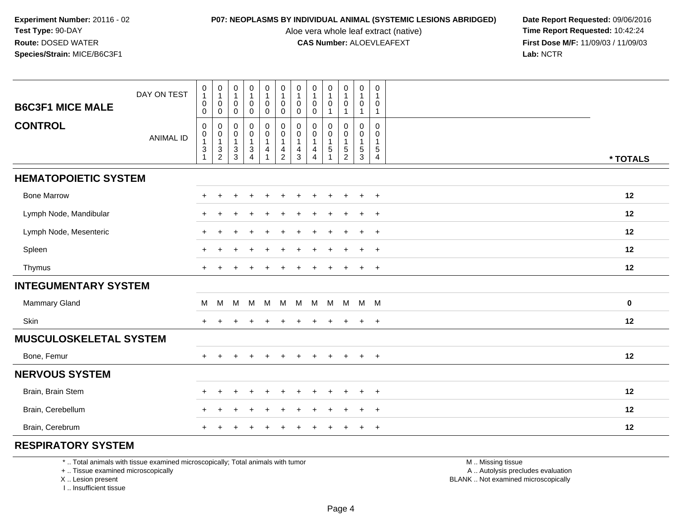Aloe vera whole leaf extract (native)<br>**CAS Number:** ALOEVLEAFEXT

**P07: NEOPLASMS BY INDIVIDUAL ANIMAL (SYSTEMIC LESIONS ABRIDGED)** Date Report Requested: 09/06/2016<br>Aloe vera whole leaf extract (native) **Time Report Requested:** 10:42:24 **First Dose M/F:** 11/09/03 / 11/09/03<br>Lab: NCTR **Lab:** NCTR

|                               | DAY ON TEST      | $\begin{smallmatrix}0\\1\end{smallmatrix}$                                                | 0<br>$\mathbf{1}$                                 | 0<br>$\mathbf{1}$                                                 | ${\bf 0}$<br>$\mathbf{1}$                         | ${\bf 0}$<br>$\mathbf{1}$                                                                        | $\begin{smallmatrix}0\\1\end{smallmatrix}$                                     | 0<br>$\mathbf{1}$             | $\pmb{0}$<br>$\mathbf{1}$                                                    | $\pmb{0}$<br>$\mathbf{1}$                      | $\mathbf 0$<br>$\mathbf 1$                        | $\pmb{0}$<br>$\overline{1}$                                              | $\mathbf 0$<br>$\overline{1}$              |          |
|-------------------------------|------------------|-------------------------------------------------------------------------------------------|---------------------------------------------------|-------------------------------------------------------------------|---------------------------------------------------|--------------------------------------------------------------------------------------------------|--------------------------------------------------------------------------------|-------------------------------|------------------------------------------------------------------------------|------------------------------------------------|---------------------------------------------------|--------------------------------------------------------------------------|--------------------------------------------|----------|
| <b>B6C3F1 MICE MALE</b>       |                  | $\boldsymbol{0}$<br>$\boldsymbol{0}$                                                      | $\mathbf 0$<br>$\mathbf 0$                        | $\mathbf 0$<br>$\mathbf 0$                                        | $\pmb{0}$<br>$\mathbf 0$                          | $\pmb{0}$<br>$\mathbf 0$                                                                         | $\mathbf 0$<br>$\mathbf 0$                                                     | 0<br>$\mathbf 0$              | 0<br>$\mathbf 0$                                                             | $\mathbf 0$                                    | $\mathbf 0$                                       | $\mathbf 0$<br>$\overline{1}$                                            | $\mathbf{0}$<br>$\mathbf{1}$               |          |
| <b>CONTROL</b>                | <b>ANIMAL ID</b> | $\mathbf 0$<br>$\begin{smallmatrix}0\\1\end{smallmatrix}$<br>$\sqrt{3}$<br>$\overline{1}$ | 0<br>$\mathsf 0$<br>$\mathbf{1}$<br>$\frac{3}{2}$ | 0<br>$\mathsf 0$<br>$\mathbf{1}$<br>$\mathsf 3$<br>$\overline{3}$ | 0<br>$\mathbf 0$<br>$\mathbf{1}$<br>$\frac{3}{4}$ | $\begin{smallmatrix} 0\\0 \end{smallmatrix}$<br>$\mathbf{1}$<br>$\overline{4}$<br>$\overline{1}$ | $\pmb{0}$<br>$\mathbf 0$<br>$\overline{1}$<br>$\overline{4}$<br>$\overline{2}$ | 0<br>$\pmb{0}$<br>1<br>4<br>3 | $\mathbf 0$<br>$\pmb{0}$<br>$\mathbf{1}$<br>$\overline{4}$<br>$\overline{4}$ | $\mathbf 0$<br>0<br>$\mathbf{1}$<br>$\sqrt{5}$ | 0<br>$\mathbf 0$<br>$\mathbf{1}$<br>$\frac{5}{2}$ | $\mathbf 0$<br>$\mathbf 0$<br>$\mathbf{1}$<br>$\sqrt{5}$<br>$\mathbf{3}$ | $\mathbf 0$<br>0<br>$\mathbf{1}$<br>5<br>4 | * TOTALS |
| <b>HEMATOPOIETIC SYSTEM</b>   |                  |                                                                                           |                                                   |                                                                   |                                                   |                                                                                                  |                                                                                |                               |                                                                              |                                                |                                                   |                                                                          |                                            |          |
| <b>Bone Marrow</b>            |                  |                                                                                           |                                                   |                                                                   |                                                   |                                                                                                  |                                                                                |                               |                                                                              |                                                | $\ddot{}$                                         | $\ddot{}$                                                                | $\overline{+}$                             | 12       |
| Lymph Node, Mandibular        |                  | $+$                                                                                       |                                                   |                                                                   |                                                   |                                                                                                  |                                                                                |                               |                                                                              |                                                |                                                   | $\ddot{}$                                                                | $\overline{+}$                             | 12       |
| Lymph Node, Mesenteric        |                  | $+$                                                                                       |                                                   |                                                                   |                                                   |                                                                                                  |                                                                                |                               |                                                                              |                                                |                                                   | $\ddot{}$                                                                | $+$                                        | 12       |
| Spleen                        |                  |                                                                                           |                                                   |                                                                   |                                                   |                                                                                                  |                                                                                |                               |                                                                              |                                                |                                                   |                                                                          | $\ddot{}$                                  | 12       |
| Thymus                        |                  |                                                                                           |                                                   |                                                                   |                                                   |                                                                                                  |                                                                                |                               |                                                                              |                                                |                                                   |                                                                          | $+$                                        | 12       |
| <b>INTEGUMENTARY SYSTEM</b>   |                  |                                                                                           |                                                   |                                                                   |                                                   |                                                                                                  |                                                                                |                               |                                                                              |                                                |                                                   |                                                                          |                                            |          |
| Mammary Gland                 |                  | M                                                                                         | M                                                 | M                                                                 | M                                                 | M                                                                                                | M                                                                              | M                             |                                                                              | M M M                                          |                                                   | M M                                                                      |                                            | $\bf{0}$ |
| Skin                          |                  |                                                                                           |                                                   |                                                                   |                                                   |                                                                                                  |                                                                                |                               |                                                                              |                                                |                                                   |                                                                          | $\overline{+}$                             | 12       |
| <b>MUSCULOSKELETAL SYSTEM</b> |                  |                                                                                           |                                                   |                                                                   |                                                   |                                                                                                  |                                                                                |                               |                                                                              |                                                |                                                   |                                                                          |                                            |          |
| Bone, Femur                   |                  | $+$                                                                                       |                                                   |                                                                   |                                                   |                                                                                                  |                                                                                |                               |                                                                              | $\ddot{}$                                      | $\ddot{}$                                         | $\ddot{}$                                                                | $+$                                        | 12       |
| <b>NERVOUS SYSTEM</b>         |                  |                                                                                           |                                                   |                                                                   |                                                   |                                                                                                  |                                                                                |                               |                                                                              |                                                |                                                   |                                                                          |                                            |          |
| Brain, Brain Stem             |                  |                                                                                           |                                                   |                                                                   |                                                   |                                                                                                  |                                                                                |                               |                                                                              |                                                |                                                   |                                                                          | $\ddot{}$                                  | 12       |
| Brain, Cerebellum             |                  |                                                                                           |                                                   |                                                                   |                                                   |                                                                                                  |                                                                                |                               |                                                                              |                                                |                                                   |                                                                          | $\ddot{}$                                  | 12       |
| Brain, Cerebrum               |                  |                                                                                           |                                                   |                                                                   |                                                   |                                                                                                  |                                                                                |                               |                                                                              |                                                |                                                   |                                                                          | $\overline{+}$                             | 12       |

## **RESPIRATORY SYSTEM**

\* .. Total animals with tissue examined microscopically; Total animals with tumor

+ .. Tissue examined microscopically

X .. Lesion present

I .. Insufficient tissue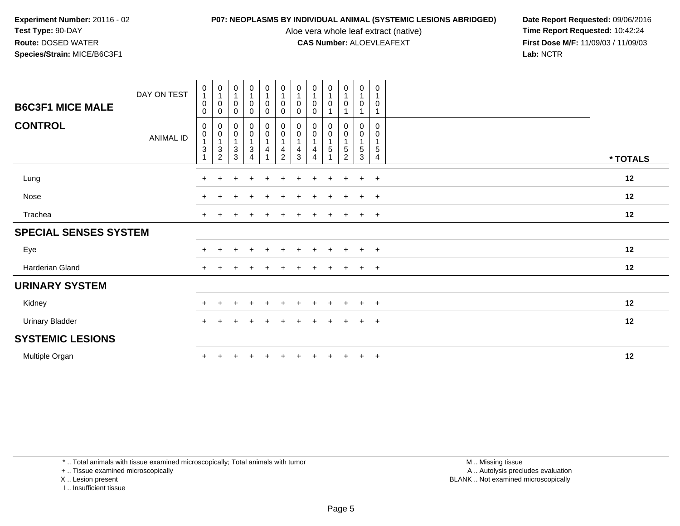Aloe vera whole leaf extract (native)<br>**CAS Number:** ALOEVLEAFEXT

**P07: NEOPLASMS BY INDIVIDUAL ANIMAL (SYSTEMIC LESIONS ABRIDGED)** Date Report Requested: 09/06/2016<br>Aloe vera whole leaf extract (native) **Time Report Requested:** 10:42:24 **First Dose M/F:** 11/09/03 / 11/09/03<br>Lab: NCTR **Lab:** NCTR

|                              | DAY ON TEST      | 0<br>$\mathbf{1}$                             | $\begin{smallmatrix}0\\1\end{smallmatrix}$                    | $\begin{smallmatrix}0\\1\end{smallmatrix}$  | $\begin{smallmatrix}0\1\end{smallmatrix}$ | $\begin{smallmatrix}0\1\end{smallmatrix}$                                               | $\begin{smallmatrix}0\1\end{smallmatrix}$     | $\begin{smallmatrix}0\1\end{smallmatrix}$ | $\begin{smallmatrix}0\\1\end{smallmatrix}$                             | $\begin{smallmatrix}0\1\end{smallmatrix}$                       | $\begin{smallmatrix}0\\1\end{smallmatrix}$            | $\mathbf 0$<br>$\mathbf{1}$                | 0<br>$\overline{1}$                     |          |
|------------------------------|------------------|-----------------------------------------------|---------------------------------------------------------------|---------------------------------------------|-------------------------------------------|-----------------------------------------------------------------------------------------|-----------------------------------------------|-------------------------------------------|------------------------------------------------------------------------|-----------------------------------------------------------------|-------------------------------------------------------|--------------------------------------------|-----------------------------------------|----------|
| <b>B6C3F1 MICE MALE</b>      |                  | 0<br>$\mathbf 0$                              | 0<br>0                                                        | $\boldsymbol{0}$<br>$\mathbf 0$             | 0<br>0                                    | $\pmb{0}$<br>$\mathbf 0$                                                                | 0<br>$\mathbf 0$                              | 0<br>0                                    | $\pmb{0}$<br>0                                                         | $\pmb{0}$<br>1                                                  | $\pmb{0}$<br>$\overline{ }$                           | $\mathbf 0$                                | 0                                       |          |
| <b>CONTROL</b>               | <b>ANIMAL ID</b> | $\mathbf 0$<br>0<br>$\ensuremath{\mathsf{3}}$ | 0<br>$\pmb{0}$<br>$\ensuremath{\mathsf{3}}$<br>$\overline{2}$ | $_{\rm 0}^{\rm 0}$<br>1<br>$\mathsf 3$<br>3 | $_0^0$<br>$\mathbf{1}$<br>3<br>4          | $\begin{smallmatrix} 0\\0 \end{smallmatrix}$<br>$\mathbf{1}$<br>$\overline{\mathbf{4}}$ | $_0^0$<br>$\mathbf{1}$<br>4<br>$\overline{2}$ | 0<br>$\mathsf 0$<br>4<br>3                | $\begin{smallmatrix} 0\\0 \end{smallmatrix}$<br>$\mathbf{1}$<br>4<br>4 | 0<br>$\ddot{\mathbf{0}}$<br>$\mathbf{1}$<br>5<br>$\overline{1}$ | 0<br>$\pmb{0}$<br>$\mathbf{1}$<br>5<br>$\overline{c}$ | $\mathbf 0$<br>0<br>$\mathbf{1}$<br>5<br>3 | 0<br>0<br>$\,$ 5 $\,$<br>$\overline{4}$ | * TOTALS |
| Lung                         |                  | $\ddot{}$                                     | $\pm$                                                         |                                             |                                           |                                                                                         | $\div$                                        | +                                         |                                                                        | $\ddot{}$                                                       | $\pm$                                                 | $+$                                        | $+$                                     | 12       |
| Nose                         |                  | $+$                                           |                                                               |                                             |                                           |                                                                                         |                                               |                                           |                                                                        | $\ddot{}$                                                       |                                                       | $+$                                        | $+$                                     | 12       |
| Trachea                      |                  | $\ddot{}$                                     |                                                               |                                             |                                           |                                                                                         |                                               |                                           |                                                                        |                                                                 |                                                       | $+$                                        | $+$                                     | 12       |
| <b>SPECIAL SENSES SYSTEM</b> |                  |                                               |                                                               |                                             |                                           |                                                                                         |                                               |                                           |                                                                        |                                                                 |                                                       |                                            |                                         |          |
| Eye                          |                  | $\ddot{}$                                     |                                                               |                                             |                                           |                                                                                         |                                               |                                           |                                                                        |                                                                 |                                                       | $+$                                        | $+$                                     | 12       |
| Harderian Gland              |                  | $\ddot{}$                                     | $\pm$                                                         |                                             |                                           |                                                                                         |                                               | ٠                                         |                                                                        | $\ddot{}$                                                       |                                                       | $+$                                        | $+$                                     | 12       |
| <b>URINARY SYSTEM</b>        |                  |                                               |                                                               |                                             |                                           |                                                                                         |                                               |                                           |                                                                        |                                                                 |                                                       |                                            |                                         |          |
| Kidney                       |                  | $\pm$                                         | $\pm$                                                         |                                             | $\pm$                                     |                                                                                         | $\div$                                        | ÷.                                        |                                                                        | $\pm$                                                           |                                                       | $+$                                        | $+$                                     | 12       |
| <b>Urinary Bladder</b>       |                  | $+$                                           |                                                               |                                             |                                           |                                                                                         |                                               |                                           |                                                                        | $\overline{+}$                                                  |                                                       | $+$                                        | $+$                                     | 12       |
| <b>SYSTEMIC LESIONS</b>      |                  |                                               |                                                               |                                             |                                           |                                                                                         |                                               |                                           |                                                                        |                                                                 |                                                       |                                            |                                         |          |
| Multiple Organ               |                  | $\ddot{}$                                     |                                                               |                                             |                                           |                                                                                         |                                               |                                           |                                                                        | $\ddot{}$                                                       |                                                       | $+$                                        | $+$                                     | 12       |

\* .. Total animals with tissue examined microscopically; Total animals with tumor

+ .. Tissue examined microscopically

X .. Lesion present

I .. Insufficient tissue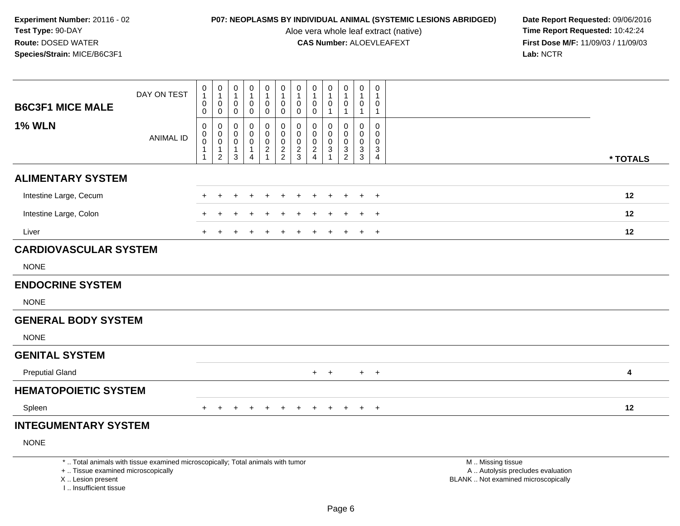I .. Insufficient tissue

Aloe vera whole leaf extract (native)<br>**CAS Number:** ALOEVLEAFEXT

| <b>B6C3F1 MICE MALE</b>                                 | DAY ON TEST                                                                     | 0<br>$\mathbf{1}$<br>$\mathbf 0$<br>0 | $\begin{smallmatrix}0\\1\end{smallmatrix}$<br>$\boldsymbol{0}$<br>$\boldsymbol{0}$ | 0<br>1<br>0<br>$\mathbf 0$       | $\boldsymbol{0}$<br>$\mathbf{1}$<br>0<br>$\mathbf 0$ | $\pmb{0}$<br>$\mathbf{1}$<br>$\pmb{0}$<br>$\mathbf 0$ | $\mathbf 0$<br>$\mathbf{1}$<br>$\pmb{0}$<br>$\pmb{0}$    | $\pmb{0}$<br>$\overline{1}$<br>$\boldsymbol{0}$<br>$\mathbf 0$ | $\mathbf 0$<br>$\mathbf{1}$<br>0<br>0                               | $\pmb{0}$<br>$\mathbf{1}$<br>$\mathbf 0$<br>$\overline{1}$    | $\mathsf{O}$<br>$\mathbf{1}$<br>$\pmb{0}$<br>$\mathbf{1}$ | $\mathsf{O}\xspace$<br>$\mathbf 1$<br>$\mathbf 0$<br>$\mathbf{1}$ | 0<br>0<br>$\mathbf{1}$                                                      |                                                                                               |          |
|---------------------------------------------------------|---------------------------------------------------------------------------------|---------------------------------------|------------------------------------------------------------------------------------|----------------------------------|------------------------------------------------------|-------------------------------------------------------|----------------------------------------------------------|----------------------------------------------------------------|---------------------------------------------------------------------|---------------------------------------------------------------|-----------------------------------------------------------|-------------------------------------------------------------------|-----------------------------------------------------------------------------|-----------------------------------------------------------------------------------------------|----------|
| <b>1% WLN</b>                                           | <b>ANIMAL ID</b>                                                                | 0<br>$\pmb{0}$<br>0<br>1<br>1         | 0<br>$\mathbf 0$<br>$\mathbf 0$<br>$\mathbf{1}$<br>$\overline{2}$                  | 0<br>0<br>0<br>$\mathbf{1}$<br>3 | 0<br>0<br>0<br>$\mathbf{1}$<br>$\overline{4}$        | 0<br>$\mathbf 0$<br>$\pmb{0}$<br>$\frac{2}{1}$        | $\mathbf 0$<br>$\mathbf 0$<br>$\pmb{0}$<br>$\frac{2}{2}$ | 0<br>$\mathbf 0$<br>$\mathbf 0$<br>$\frac{2}{3}$               | 0<br>$\mathbf 0$<br>$\mathbf 0$<br>$\overline{c}$<br>$\overline{4}$ | 0<br>$\mathbf 0$<br>$\mathbf 0$<br>$\sqrt{3}$<br>$\mathbf{1}$ | 0<br>0<br>$\mathbf 0$<br>$\frac{3}{2}$                    | 0<br>$\mathbf 0$<br>$\mathbf 0$<br>$\mathbf{3}$<br>$\overline{3}$ | $\mathbf 0$<br>$\mathbf 0$<br>$\mathbf 0$<br>$\mathbf{3}$<br>$\overline{4}$ |                                                                                               | * TOTALS |
| <b>ALIMENTARY SYSTEM</b>                                |                                                                                 |                                       |                                                                                    |                                  |                                                      |                                                       |                                                          |                                                                |                                                                     |                                                               |                                                           |                                                                   |                                                                             |                                                                                               |          |
| Intestine Large, Cecum                                  |                                                                                 |                                       |                                                                                    |                                  |                                                      |                                                       |                                                          |                                                                |                                                                     |                                                               |                                                           | $\ddot{}$                                                         | $+$                                                                         |                                                                                               | 12       |
| Intestine Large, Colon                                  |                                                                                 |                                       |                                                                                    |                                  |                                                      |                                                       |                                                          |                                                                |                                                                     |                                                               |                                                           |                                                                   | $+$                                                                         |                                                                                               | 12       |
| Liver                                                   |                                                                                 | +                                     |                                                                                    |                                  |                                                      |                                                       |                                                          |                                                                |                                                                     |                                                               |                                                           | $\ddot{}$                                                         | $+$                                                                         |                                                                                               | 12       |
| <b>CARDIOVASCULAR SYSTEM</b>                            |                                                                                 |                                       |                                                                                    |                                  |                                                      |                                                       |                                                          |                                                                |                                                                     |                                                               |                                                           |                                                                   |                                                                             |                                                                                               |          |
| <b>NONE</b>                                             |                                                                                 |                                       |                                                                                    |                                  |                                                      |                                                       |                                                          |                                                                |                                                                     |                                                               |                                                           |                                                                   |                                                                             |                                                                                               |          |
| <b>ENDOCRINE SYSTEM</b>                                 |                                                                                 |                                       |                                                                                    |                                  |                                                      |                                                       |                                                          |                                                                |                                                                     |                                                               |                                                           |                                                                   |                                                                             |                                                                                               |          |
| <b>NONE</b>                                             |                                                                                 |                                       |                                                                                    |                                  |                                                      |                                                       |                                                          |                                                                |                                                                     |                                                               |                                                           |                                                                   |                                                                             |                                                                                               |          |
| <b>GENERAL BODY SYSTEM</b>                              |                                                                                 |                                       |                                                                                    |                                  |                                                      |                                                       |                                                          |                                                                |                                                                     |                                                               |                                                           |                                                                   |                                                                             |                                                                                               |          |
| <b>NONE</b>                                             |                                                                                 |                                       |                                                                                    |                                  |                                                      |                                                       |                                                          |                                                                |                                                                     |                                                               |                                                           |                                                                   |                                                                             |                                                                                               |          |
| <b>GENITAL SYSTEM</b>                                   |                                                                                 |                                       |                                                                                    |                                  |                                                      |                                                       |                                                          |                                                                |                                                                     |                                                               |                                                           |                                                                   |                                                                             |                                                                                               |          |
| <b>Preputial Gland</b>                                  |                                                                                 |                                       |                                                                                    |                                  |                                                      |                                                       |                                                          |                                                                |                                                                     | $+$ $+$                                                       |                                                           |                                                                   | $+$ $+$                                                                     |                                                                                               | 4        |
| <b>HEMATOPOIETIC SYSTEM</b>                             |                                                                                 |                                       |                                                                                    |                                  |                                                      |                                                       |                                                          |                                                                |                                                                     |                                                               |                                                           |                                                                   |                                                                             |                                                                                               |          |
| Spleen                                                  |                                                                                 |                                       |                                                                                    | $\div$                           | $\ddot{}$                                            | $+$                                                   | $+$                                                      | $+$                                                            | $+$                                                                 | $\pm$                                                         | $+$                                                       | $+$                                                               | $+$                                                                         |                                                                                               | 12       |
| <b>INTEGUMENTARY SYSTEM</b>                             |                                                                                 |                                       |                                                                                    |                                  |                                                      |                                                       |                                                          |                                                                |                                                                     |                                                               |                                                           |                                                                   |                                                                             |                                                                                               |          |
| <b>NONE</b>                                             |                                                                                 |                                       |                                                                                    |                                  |                                                      |                                                       |                                                          |                                                                |                                                                     |                                                               |                                                           |                                                                   |                                                                             |                                                                                               |          |
| +  Tissue examined microscopically<br>X  Lesion present | *  Total animals with tissue examined microscopically; Total animals with tumor |                                       |                                                                                    |                                  |                                                      |                                                       |                                                          |                                                                |                                                                     |                                                               |                                                           |                                                                   |                                                                             | M  Missing tissue<br>A  Autolysis precludes evaluation<br>BLANK  Not examined microscopically |          |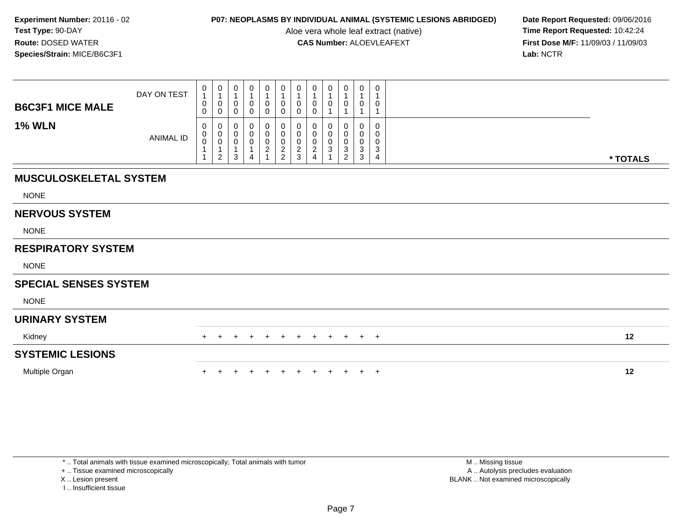Aloe vera whole leaf extract (native)<br>**CAS Number:** ALOEVLEAFEXT

**P07: NEOPLASMS BY INDIVIDUAL ANIMAL (SYSTEMIC LESIONS ABRIDGED)** Date Report Requested: 09/06/2016<br>Aloe vera whole leaf extract (native) **Time Report Requested:** 10:42:24 **First Dose M/F:** 11/09/03 / 11/09/03<br>Lab: NCTR **Lab:** NCTR

| <b>B6C3F1 MICE MALE</b>       | DAY ON TEST      | 0<br>$\overline{1}$<br>0 | $\begin{smallmatrix}0\\1\end{smallmatrix}$<br>$\pmb{0}$       | 0<br>1<br>$\mathbf 0$            | 0<br>$\mathbf{1}$<br>0                                 | $\mathbf 0$<br>$\mathbf{1}$<br>0 | $\begin{smallmatrix}0\1\end{smallmatrix}$<br>$\pmb{0}$ | $\boldsymbol{0}$<br>$\mathbf{1}$<br>$\boldsymbol{0}$ | 0<br>$\mathbf{1}$<br>0                                          | 0<br>$\overline{\mathbf{1}}$<br>0 | 0<br>$\mathbf{1}$<br>0                        | $\mathbf 0$<br>$\mathbf{1}$<br>$\boldsymbol{0}$   | 0<br>1<br>0      |          |  |
|-------------------------------|------------------|--------------------------|---------------------------------------------------------------|----------------------------------|--------------------------------------------------------|----------------------------------|--------------------------------------------------------|------------------------------------------------------|-----------------------------------------------------------------|-----------------------------------|-----------------------------------------------|---------------------------------------------------|------------------|----------|--|
| <b>1% WLN</b>                 | <b>ANIMAL ID</b> | 0<br>0<br>0<br>$\pmb{0}$ | $\mathbf 0$<br>0<br>$\begin{matrix} 0 \\ 0 \\ 1 \end{matrix}$ | $\mathbf 0$<br>0<br>0<br>$\,0\,$ | $\pmb{0}$<br>0<br>$\,0\,$<br>$\pmb{0}$<br>$\mathbf{1}$ | 0<br>0<br>0<br>$\frac{0}{2}$     | $\pmb{0}$<br>0<br>$\pmb{0}$<br>$\frac{0}{2}$           | $\mathbf 0$<br>0<br>$\pmb{0}$<br>$\pmb{0}$           | $\mathbf 0$<br>$\mathbf{0}$<br>0<br>$\pmb{0}$<br>$\overline{2}$ | 0<br>0<br>$\pmb{0}$<br>$\sqrt{3}$ | 1<br>0<br>0<br>0<br>$\ensuremath{\mathsf{3}}$ | $\mathbf{1}$<br>0<br>0<br>$\pmb{0}$<br>$\sqrt{3}$ | 0<br>0<br>0<br>3 |          |  |
|                               |                  |                          | $\overline{2}$                                                | 3                                | $\overline{4}$                                         |                                  |                                                        | $\frac{2}{3}$                                        | $\overline{4}$                                                  |                                   | $\overline{2}$                                | 3                                                 | 4                | * TOTALS |  |
| <b>MUSCULOSKELETAL SYSTEM</b> |                  |                          |                                                               |                                  |                                                        |                                  |                                                        |                                                      |                                                                 |                                   |                                               |                                                   |                  |          |  |
| <b>NONE</b>                   |                  |                          |                                                               |                                  |                                                        |                                  |                                                        |                                                      |                                                                 |                                   |                                               |                                                   |                  |          |  |
| <b>NERVOUS SYSTEM</b>         |                  |                          |                                                               |                                  |                                                        |                                  |                                                        |                                                      |                                                                 |                                   |                                               |                                                   |                  |          |  |
| <b>NONE</b>                   |                  |                          |                                                               |                                  |                                                        |                                  |                                                        |                                                      |                                                                 |                                   |                                               |                                                   |                  |          |  |
| <b>RESPIRATORY SYSTEM</b>     |                  |                          |                                                               |                                  |                                                        |                                  |                                                        |                                                      |                                                                 |                                   |                                               |                                                   |                  |          |  |
| <b>NONE</b>                   |                  |                          |                                                               |                                  |                                                        |                                  |                                                        |                                                      |                                                                 |                                   |                                               |                                                   |                  |          |  |
| <b>SPECIAL SENSES SYSTEM</b>  |                  |                          |                                                               |                                  |                                                        |                                  |                                                        |                                                      |                                                                 |                                   |                                               |                                                   |                  |          |  |
| <b>NONE</b>                   |                  |                          |                                                               |                                  |                                                        |                                  |                                                        |                                                      |                                                                 |                                   |                                               |                                                   |                  |          |  |
| <b>URINARY SYSTEM</b>         |                  |                          |                                                               |                                  |                                                        |                                  |                                                        |                                                      |                                                                 |                                   |                                               |                                                   |                  |          |  |
| Kidney                        |                  |                          |                                                               | $\pm$                            | ÷                                                      | $\ddot{}$                        | $+$                                                    | $+$                                                  | $+$                                                             | $+$                               | $+$                                           | $+$                                               | $+$              | 12       |  |
| <b>SYSTEMIC LESIONS</b>       |                  |                          |                                                               |                                  |                                                        |                                  |                                                        |                                                      |                                                                 |                                   |                                               |                                                   |                  |          |  |
| Multiple Organ                |                  |                          |                                                               |                                  |                                                        |                                  |                                                        |                                                      |                                                                 |                                   | $\ddot{}$                                     | $+$                                               | $^{+}$           | 12       |  |

\* .. Total animals with tissue examined microscopically; Total animals with tumor

+ .. Tissue examined microscopically

X .. Lesion present

I .. Insufficient tissue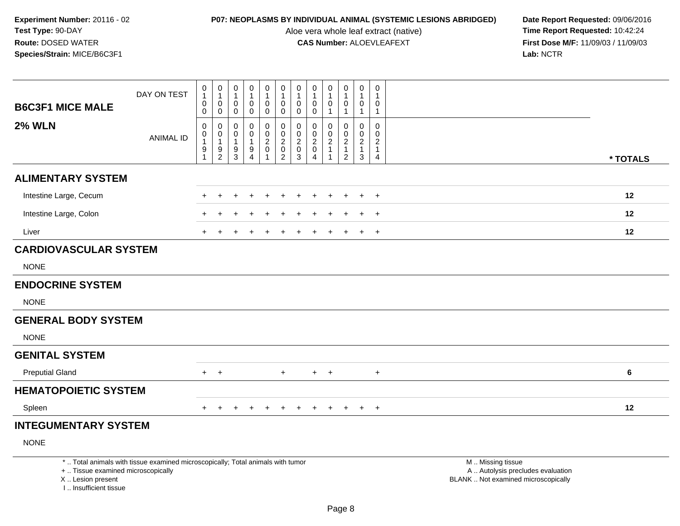Aloe vera whole leaf extract (native)<br>**CAS Number:** ALOEVLEAFEXT

| <b>B6C3F1 MICE MALE</b>                                                            | DAY ON TEST                                                                     | 0<br>$\mathbf{1}$<br>$\pmb{0}$<br>$\pmb{0}$                     | $\boldsymbol{0}$<br>$\overline{1}$<br>$\mathbf 0$<br>$\mathsf{O}\xspace$ | 0<br>1<br>0<br>$\pmb{0}$           | 0<br>$\mathbf{1}$<br>$\mathbf 0$<br>$\pmb{0}$     | 0<br>$\mathbf{1}$<br>0<br>$\pmb{0}$                         | 0<br>1<br>0<br>$\mathsf{O}\xspace$                                                 | $\pmb{0}$<br>$\mathbf{1}$<br>$\mathbf 0$<br>$\pmb{0}$                       | 0<br>$\overline{1}$<br>$\mathbf 0$<br>0      | $\mathbf 0$<br>$\mathbf{1}$<br>$\mathbf 0$<br>$\mathbf{1}$                     | 0<br>1<br>0<br>$\mathbf{1}$                                          | 0<br>$\mathbf{1}$<br>$\mathbf 0$<br>$\mathbf{1}$                                     | $\mathsf{O}\xspace$<br>$\mathbf 1$<br>0<br>$\mathbf{1}$           |                                                                                               |  |
|------------------------------------------------------------------------------------|---------------------------------------------------------------------------------|-----------------------------------------------------------------|--------------------------------------------------------------------------|------------------------------------|---------------------------------------------------|-------------------------------------------------------------|------------------------------------------------------------------------------------|-----------------------------------------------------------------------------|----------------------------------------------|--------------------------------------------------------------------------------|----------------------------------------------------------------------|--------------------------------------------------------------------------------------|-------------------------------------------------------------------|-----------------------------------------------------------------------------------------------|--|
| <b>2% WLN</b>                                                                      | <b>ANIMAL ID</b>                                                                | $\pmb{0}$<br>$\pmb{0}$<br>$\mathbf{1}$<br>$\boldsymbol{9}$<br>1 | $\mathbf 0$<br>$\boldsymbol{0}$<br>$\overline{1}$<br>$\frac{9}{2}$       | 0<br>0<br>1<br>9<br>$\overline{3}$ | 0<br>$\mathbf 0$<br>$\mathbf{1}$<br>$\frac{9}{4}$ | $\pmb{0}$<br>$\mathbf 0$<br>$\frac{2}{0}$<br>$\overline{1}$ | 0<br>$\mathbf 0$<br>$\overline{2}$<br>$\begin{smallmatrix} 0\\2 \end{smallmatrix}$ | $\mathbf 0$<br>$\mathbf 0$<br>$\overline{2}$<br>$\pmb{0}$<br>$\overline{3}$ | 0<br>$\mathbf 0$<br>$\overline{c}$<br>0<br>4 | $\mathbf 0$<br>$\mathbf 0$<br>$\overline{2}$<br>$\mathbf{1}$<br>$\overline{1}$ | 0<br>$\mathbf 0$<br>$\overline{c}$<br>$\mathbf{1}$<br>$\overline{2}$ | $\mathbf 0$<br>$\mathsf{O}\xspace$<br>$\overline{2}$<br>$\mathbf{1}$<br>$\mathbf{3}$ | $\mathbf 0$<br>$\mathbf 0$<br>$\overline{c}$<br>$\mathbf{1}$<br>4 | * TOTALS                                                                                      |  |
| <b>ALIMENTARY SYSTEM</b>                                                           |                                                                                 |                                                                 |                                                                          |                                    |                                                   |                                                             |                                                                                    |                                                                             |                                              |                                                                                |                                                                      |                                                                                      |                                                                   |                                                                                               |  |
| Intestine Large, Cecum                                                             |                                                                                 |                                                                 |                                                                          |                                    |                                                   |                                                             |                                                                                    |                                                                             |                                              |                                                                                |                                                                      |                                                                                      | $\ddot{}$                                                         | 12                                                                                            |  |
| Intestine Large, Colon                                                             |                                                                                 |                                                                 |                                                                          |                                    |                                                   |                                                             |                                                                                    |                                                                             |                                              |                                                                                |                                                                      |                                                                                      | $\pm$                                                             | 12                                                                                            |  |
| Liver                                                                              |                                                                                 | $+$                                                             |                                                                          |                                    |                                                   |                                                             |                                                                                    |                                                                             |                                              |                                                                                |                                                                      | $\ddot{}$                                                                            | $+$                                                               | 12                                                                                            |  |
| <b>CARDIOVASCULAR SYSTEM</b>                                                       |                                                                                 |                                                                 |                                                                          |                                    |                                                   |                                                             |                                                                                    |                                                                             |                                              |                                                                                |                                                                      |                                                                                      |                                                                   |                                                                                               |  |
| <b>NONE</b>                                                                        |                                                                                 |                                                                 |                                                                          |                                    |                                                   |                                                             |                                                                                    |                                                                             |                                              |                                                                                |                                                                      |                                                                                      |                                                                   |                                                                                               |  |
| <b>ENDOCRINE SYSTEM</b>                                                            |                                                                                 |                                                                 |                                                                          |                                    |                                                   |                                                             |                                                                                    |                                                                             |                                              |                                                                                |                                                                      |                                                                                      |                                                                   |                                                                                               |  |
| <b>NONE</b>                                                                        |                                                                                 |                                                                 |                                                                          |                                    |                                                   |                                                             |                                                                                    |                                                                             |                                              |                                                                                |                                                                      |                                                                                      |                                                                   |                                                                                               |  |
| <b>GENERAL BODY SYSTEM</b>                                                         |                                                                                 |                                                                 |                                                                          |                                    |                                                   |                                                             |                                                                                    |                                                                             |                                              |                                                                                |                                                                      |                                                                                      |                                                                   |                                                                                               |  |
| <b>NONE</b>                                                                        |                                                                                 |                                                                 |                                                                          |                                    |                                                   |                                                             |                                                                                    |                                                                             |                                              |                                                                                |                                                                      |                                                                                      |                                                                   |                                                                                               |  |
| <b>GENITAL SYSTEM</b>                                                              |                                                                                 |                                                                 |                                                                          |                                    |                                                   |                                                             |                                                                                    |                                                                             |                                              |                                                                                |                                                                      |                                                                                      |                                                                   |                                                                                               |  |
| <b>Preputial Gland</b>                                                             |                                                                                 |                                                                 | $+$ $+$                                                                  |                                    |                                                   |                                                             | $+$                                                                                |                                                                             |                                              | $+$ $+$                                                                        |                                                                      |                                                                                      | $+$                                                               | 6                                                                                             |  |
| <b>HEMATOPOIETIC SYSTEM</b>                                                        |                                                                                 |                                                                 |                                                                          |                                    |                                                   |                                                             |                                                                                    |                                                                             |                                              |                                                                                |                                                                      |                                                                                      |                                                                   |                                                                                               |  |
| Spleen                                                                             |                                                                                 | $+$                                                             | $\ddot{}$                                                                |                                    |                                                   | $\ddot{}$                                                   | $\ddot{}$                                                                          | $\pm$                                                                       | $\pm$                                        | $\ddot{}$                                                                      | $+$                                                                  | $+$                                                                                  | $+$                                                               | 12                                                                                            |  |
| <b>INTEGUMENTARY SYSTEM</b>                                                        |                                                                                 |                                                                 |                                                                          |                                    |                                                   |                                                             |                                                                                    |                                                                             |                                              |                                                                                |                                                                      |                                                                                      |                                                                   |                                                                                               |  |
| <b>NONE</b>                                                                        |                                                                                 |                                                                 |                                                                          |                                    |                                                   |                                                             |                                                                                    |                                                                             |                                              |                                                                                |                                                                      |                                                                                      |                                                                   |                                                                                               |  |
| +  Tissue examined microscopically<br>X  Lesion present<br>I., Insufficient tissue | *  Total animals with tissue examined microscopically; Total animals with tumor |                                                                 |                                                                          |                                    |                                                   |                                                             |                                                                                    |                                                                             |                                              |                                                                                |                                                                      |                                                                                      |                                                                   | M  Missing tissue<br>A  Autolysis precludes evaluation<br>BLANK  Not examined microscopically |  |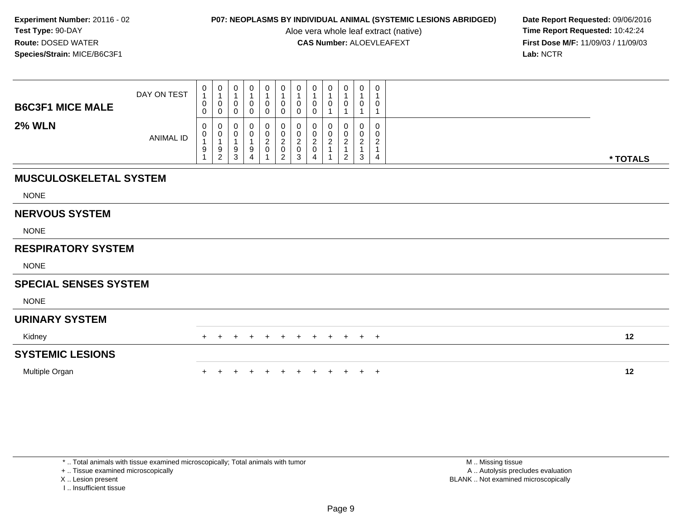Aloe vera whole leaf extract (native)<br>**CAS Number:** ALOEVLEAFEXT

**P07: NEOPLASMS BY INDIVIDUAL ANIMAL (SYSTEMIC LESIONS ABRIDGED)** Date Report Requested: 09/06/2016<br>Aloe vera whole leaf extract (native) **Time Report Requested:** 10:42:24 **First Dose M/F:** 11/09/03 / 11/09/03<br>Lab: NCTR **Lab:** NCTR

| <b>B6C3F1 MICE MALE</b>       | DAY ON TEST      | 0<br>$\mathbf{1}$<br>0<br>0 | $\begin{smallmatrix}0\\1\end{smallmatrix}$<br>$\pmb{0}$<br>$\pmb{0}$ | $\begin{smallmatrix}0\1\end{smallmatrix}$<br>$\pmb{0}$<br>$\pmb{0}$ | 0<br>0<br>0                   | $\begin{smallmatrix} 0\\ 1 \end{smallmatrix}$<br>$\pmb{0}$<br>$\mathbf 0$ | $\begin{smallmatrix}0\1\end{smallmatrix}$<br>0<br>0 | $\begin{smallmatrix} 0\\ 1 \end{smallmatrix}$<br>$\pmb{0}$<br>$\mathbf 0$ | 0<br>$\mathbf{1}$<br>$\pmb{0}$<br>$\mathbf 0$             | $\mathbf 0$<br>$\overline{1}$<br>0 | 0<br>1<br>0                                                       | 0<br>$\mathbf{1}$<br>$\mathbf 0$              | 0<br>$\overline{1}$<br>$\mathbf 0$                        |          |  |
|-------------------------------|------------------|-----------------------------|----------------------------------------------------------------------|---------------------------------------------------------------------|-------------------------------|---------------------------------------------------------------------------|-----------------------------------------------------|---------------------------------------------------------------------------|-----------------------------------------------------------|------------------------------------|-------------------------------------------------------------------|-----------------------------------------------|-----------------------------------------------------------|----------|--|
| <b>2% WLN</b>                 | <b>ANIMAL ID</b> | 0<br>0<br>9                 | 0<br>$\begin{smallmatrix}0\\1\end{smallmatrix}$<br>$\frac{9}{2}$     | 0<br>$\pmb{0}$<br>$\mathbf{1}$<br>$\frac{9}{3}$                     | 0<br>0<br>9<br>$\overline{4}$ | 0<br>$\frac{0}{2}$                                                        | 0<br>$\frac{0}{2}$<br>$\overline{a}$                | 0<br>$\pmb{0}$<br>$\frac{2}{0}$<br>3                                      | 0<br>$\begin{smallmatrix} 0\ 2\ 0 \end{smallmatrix}$<br>4 | 0<br>0<br>$\boldsymbol{2}$         | 0<br>$\begin{array}{c} 0 \\ 2 \\ 1 \end{array}$<br>$\overline{2}$ | 0<br>0<br>$\overline{c}$<br>$\mathbf{1}$<br>3 | $\mathbf 0$<br>0<br>$\overline{c}$<br>$\overline{1}$<br>4 | * TOTALS |  |
| <b>MUSCULOSKELETAL SYSTEM</b> |                  |                             |                                                                      |                                                                     |                               |                                                                           |                                                     |                                                                           |                                                           |                                    |                                                                   |                                               |                                                           |          |  |
| <b>NONE</b>                   |                  |                             |                                                                      |                                                                     |                               |                                                                           |                                                     |                                                                           |                                                           |                                    |                                                                   |                                               |                                                           |          |  |
| <b>NERVOUS SYSTEM</b>         |                  |                             |                                                                      |                                                                     |                               |                                                                           |                                                     |                                                                           |                                                           |                                    |                                                                   |                                               |                                                           |          |  |
| <b>NONE</b>                   |                  |                             |                                                                      |                                                                     |                               |                                                                           |                                                     |                                                                           |                                                           |                                    |                                                                   |                                               |                                                           |          |  |
| <b>RESPIRATORY SYSTEM</b>     |                  |                             |                                                                      |                                                                     |                               |                                                                           |                                                     |                                                                           |                                                           |                                    |                                                                   |                                               |                                                           |          |  |
| <b>NONE</b>                   |                  |                             |                                                                      |                                                                     |                               |                                                                           |                                                     |                                                                           |                                                           |                                    |                                                                   |                                               |                                                           |          |  |
| <b>SPECIAL SENSES SYSTEM</b>  |                  |                             |                                                                      |                                                                     |                               |                                                                           |                                                     |                                                                           |                                                           |                                    |                                                                   |                                               |                                                           |          |  |
| <b>NONE</b>                   |                  |                             |                                                                      |                                                                     |                               |                                                                           |                                                     |                                                                           |                                                           |                                    |                                                                   |                                               |                                                           |          |  |
| <b>URINARY SYSTEM</b>         |                  |                             |                                                                      |                                                                     |                               |                                                                           |                                                     |                                                                           |                                                           |                                    |                                                                   |                                               |                                                           |          |  |
| Kidney                        |                  | $\div$                      | $\pm$                                                                | $\ddot{}$                                                           | $\pm$                         | $\pm$                                                                     | $+$                                                 | $+$                                                                       | $+$                                                       | $+$                                | $+$                                                               | $+$                                           | $+$                                                       | 12       |  |
| <b>SYSTEMIC LESIONS</b>       |                  |                             |                                                                      |                                                                     |                               |                                                                           |                                                     |                                                                           |                                                           |                                    |                                                                   |                                               |                                                           |          |  |
| Multiple Organ                |                  |                             |                                                                      |                                                                     |                               |                                                                           |                                                     |                                                                           |                                                           |                                    | $+$                                                               | $+$                                           | $+$                                                       | 12       |  |

+ .. Tissue examined microscopically

X .. Lesion present

I .. Insufficient tissue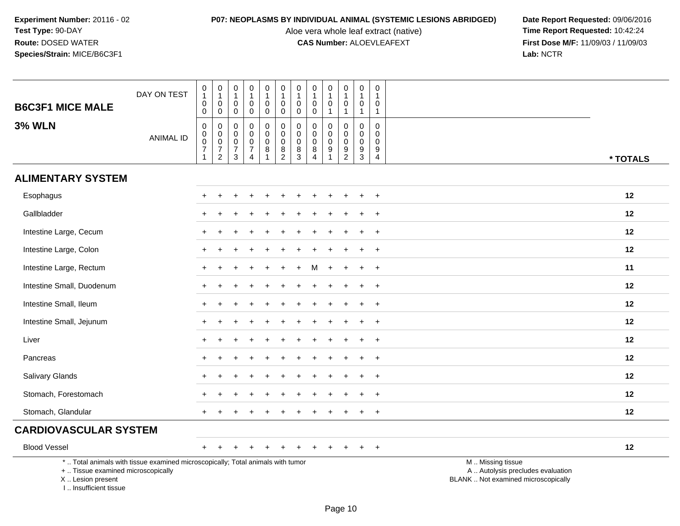Aloe vera whole leaf extract (native)<br>**CAS Number:** ALOEVLEAFEXT

| <b>B6C3F1 MICE MALE</b>                                                          | DAY ON TEST                                                                     | $\pmb{0}$<br>$\overline{1}$<br>$\pmb{0}$<br>0                                   | $\pmb{0}$<br>$\mathbf{1}$<br>0<br>0                                          | $\boldsymbol{0}$<br>$\overline{1}$<br>$\mathbf 0$<br>0           | $\pmb{0}$<br>$\mathbf{1}$<br>$\mathbf 0$<br>0                                 | $\mathbf 0$<br>$\mathbf{1}$<br>$\mathbf 0$<br>0 | $\pmb{0}$<br>$\overline{1}$<br>$\mathsf 0$<br>$\mathbf 0$      | $\mathbf 0$<br>$\mathbf{1}$<br>$\mathbf 0$<br>0                | $\pmb{0}$<br>$\mathbf{1}$<br>0<br>0                            | $\pmb{0}$<br>$\mathbf{1}$<br>$\mathbf 0$<br>$\mathbf{1}$ | 0<br>$\mathbf{1}$<br>$\mathbf 0$<br>$\mathbf{1}$                      | $\pmb{0}$<br>$\overline{1}$<br>$\overline{0}$<br>$\overline{1}$          | 0<br>$\mathbf{1}$<br>$\mathbf 0$<br>$\mathbf{1}$ |                                                                                               |
|----------------------------------------------------------------------------------|---------------------------------------------------------------------------------|---------------------------------------------------------------------------------|------------------------------------------------------------------------------|------------------------------------------------------------------|-------------------------------------------------------------------------------|-------------------------------------------------|----------------------------------------------------------------|----------------------------------------------------------------|----------------------------------------------------------------|----------------------------------------------------------|-----------------------------------------------------------------------|--------------------------------------------------------------------------|--------------------------------------------------|-----------------------------------------------------------------------------------------------|
| <b>3% WLN</b>                                                                    | <b>ANIMAL ID</b>                                                                | $\pmb{0}$<br>$\pmb{0}$<br>$\ddot{\mathbf{0}}$<br>$\overline{7}$<br>$\mathbf{1}$ | $\pmb{0}$<br>$\pmb{0}$<br>$\overline{0}$<br>$\overline{7}$<br>$\overline{2}$ | $\mathbf 0$<br>$\mathbf 0$<br>$\mathbf 0$<br>$\overline{7}$<br>3 | $\mathsf 0$<br>$\mathbf 0$<br>$\mathbf 0$<br>$\overline{7}$<br>$\overline{4}$ | 0<br>0<br>$\pmb{0}$<br>8<br>1                   | $\pmb{0}$<br>$\pmb{0}$<br>$\ddot{\mathbf{0}}$<br>$\frac{8}{2}$ | $\pmb{0}$<br>$\mathbf 0$<br>$\mathbf 0$<br>8<br>$\overline{3}$ | $\mathbf 0$<br>$\mathbf 0$<br>$\pmb{0}$<br>8<br>$\overline{4}$ | $\mathbf 0$<br>$\mathbf 0$<br>$\pmb{0}$<br>9             | 0<br>$\mathbf 0$<br>$\mathbf 0$<br>$\boldsymbol{9}$<br>$\overline{2}$ | $\boldsymbol{0}$<br>$\overline{0}$<br>$\mathbf 0$<br>9<br>$\overline{3}$ | 0<br>$\Omega$<br>0<br>9<br>$\overline{4}$        | * TOTALS                                                                                      |
| <b>ALIMENTARY SYSTEM</b>                                                         |                                                                                 |                                                                                 |                                                                              |                                                                  |                                                                               |                                                 |                                                                |                                                                |                                                                |                                                          |                                                                       |                                                                          |                                                  |                                                                                               |
| Esophagus                                                                        |                                                                                 |                                                                                 |                                                                              |                                                                  |                                                                               |                                                 |                                                                |                                                                |                                                                |                                                          |                                                                       |                                                                          | $\ddot{}$                                        | 12                                                                                            |
| Gallbladder                                                                      |                                                                                 |                                                                                 |                                                                              |                                                                  |                                                                               |                                                 |                                                                |                                                                |                                                                |                                                          |                                                                       |                                                                          |                                                  | 12                                                                                            |
| Intestine Large, Cecum                                                           |                                                                                 |                                                                                 |                                                                              |                                                                  |                                                                               |                                                 |                                                                |                                                                |                                                                |                                                          |                                                                       |                                                                          | $\ddot{}$                                        | 12                                                                                            |
| Intestine Large, Colon                                                           |                                                                                 | $+$                                                                             |                                                                              |                                                                  |                                                                               |                                                 |                                                                |                                                                |                                                                |                                                          |                                                                       |                                                                          | $\ddot{}$                                        | 12                                                                                            |
| Intestine Large, Rectum                                                          |                                                                                 |                                                                                 |                                                                              |                                                                  |                                                                               |                                                 |                                                                |                                                                |                                                                |                                                          |                                                                       |                                                                          | $\ddot{}$                                        | 11                                                                                            |
| Intestine Small, Duodenum                                                        |                                                                                 |                                                                                 |                                                                              |                                                                  |                                                                               |                                                 |                                                                |                                                                |                                                                |                                                          |                                                                       |                                                                          | $\ddot{}$                                        | 12                                                                                            |
| Intestine Small, Ileum                                                           |                                                                                 | $+$                                                                             |                                                                              |                                                                  |                                                                               |                                                 |                                                                |                                                                |                                                                |                                                          |                                                                       | $\ddot{}$                                                                | $\ddot{}$                                        | 12                                                                                            |
| Intestine Small, Jejunum                                                         |                                                                                 | $+$                                                                             |                                                                              |                                                                  |                                                                               |                                                 |                                                                |                                                                |                                                                |                                                          |                                                                       |                                                                          | $\ddot{}$                                        | 12                                                                                            |
| Liver                                                                            |                                                                                 |                                                                                 |                                                                              |                                                                  |                                                                               |                                                 |                                                                |                                                                |                                                                |                                                          |                                                                       |                                                                          | $\div$                                           | 12                                                                                            |
| Pancreas                                                                         |                                                                                 |                                                                                 |                                                                              |                                                                  |                                                                               |                                                 |                                                                |                                                                |                                                                |                                                          |                                                                       |                                                                          | $\ddot{}$                                        | 12                                                                                            |
| Salivary Glands                                                                  |                                                                                 |                                                                                 |                                                                              |                                                                  |                                                                               |                                                 |                                                                |                                                                |                                                                |                                                          |                                                                       |                                                                          | $\ddot{}$                                        | 12                                                                                            |
| Stomach, Forestomach                                                             |                                                                                 |                                                                                 |                                                                              |                                                                  |                                                                               |                                                 |                                                                |                                                                |                                                                |                                                          |                                                                       |                                                                          | $\ddot{}$                                        | 12                                                                                            |
| Stomach, Glandular                                                               |                                                                                 |                                                                                 |                                                                              |                                                                  |                                                                               |                                                 |                                                                |                                                                |                                                                |                                                          |                                                                       |                                                                          | $\ddot{}$                                        | 12                                                                                            |
| <b>CARDIOVASCULAR SYSTEM</b>                                                     |                                                                                 |                                                                                 |                                                                              |                                                                  |                                                                               |                                                 |                                                                |                                                                |                                                                |                                                          |                                                                       |                                                                          |                                                  |                                                                                               |
| <b>Blood Vessel</b>                                                              |                                                                                 | $+$                                                                             |                                                                              |                                                                  |                                                                               |                                                 |                                                                |                                                                |                                                                |                                                          |                                                                       |                                                                          | $\ddot{}$                                        | 12                                                                                            |
| +  Tissue examined microscopically<br>X  Lesion present<br>I Insufficient tissue | *  Total animals with tissue examined microscopically; Total animals with tumor |                                                                                 |                                                                              |                                                                  |                                                                               |                                                 |                                                                |                                                                |                                                                |                                                          |                                                                       |                                                                          |                                                  | M  Missing tissue<br>A  Autolysis precludes evaluation<br>BLANK  Not examined microscopically |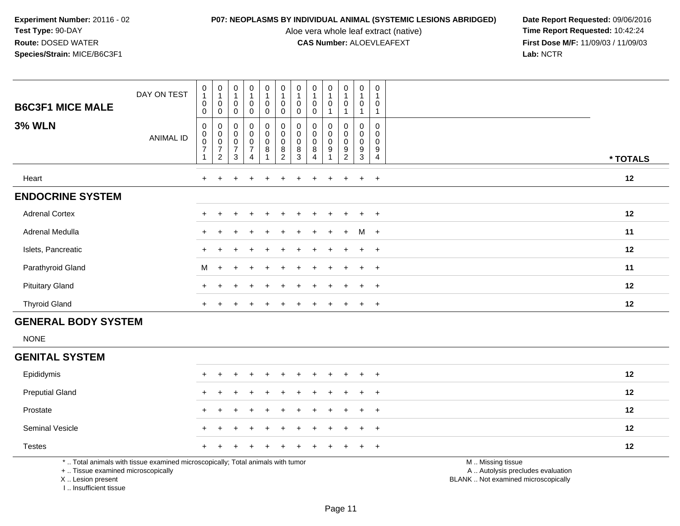Aloe vera whole leaf extract (native)<br>**CAS Number:** ALOEVLEAFEXT

**P07: NEOPLASMS BY INDIVIDUAL ANIMAL (SYSTEMIC LESIONS ABRIDGED)** Date Report Requested: 09/06/2016<br>Aloe vera whole leaf extract (native) **Time Report Requested:** 10:42:24 **First Dose M/F:** 11/09/03 / 11/09/03<br>Lab: NCTR **Lab:** NCTR

| <b>B6C3F1 MICE MALE</b><br><b>3% WLN</b> | DAY ON TEST<br><b>ANIMAL ID</b> | $\begin{smallmatrix}0\1\end{smallmatrix}$<br>$\pmb{0}$<br>$\pmb{0}$<br>0<br>$\frac{0}{2}$ | $\begin{smallmatrix}0\\1\end{smallmatrix}$<br>$\pmb{0}$<br>$\pmb{0}$ | $\begin{smallmatrix}0\\1\end{smallmatrix}$<br>$\mathbf 0$<br>0<br>000073 | $\frac{0}{4}$<br>0<br>$\mathbf 0$<br>$\begin{smallmatrix} 0\\0 \end{smallmatrix}$<br>0<br>$\overline{7}$ | $\frac{0}{1}$<br>$\pmb{0}$<br>$\mathbf 0$<br>$\pmb{0}$<br>$\mathbf 0$<br>$\pmb{0}$<br>8 | $\frac{0}{1}$<br>0<br>$\mathbf 0$<br>$\begin{smallmatrix}0\\0\end{smallmatrix}$<br>$\pmb{0}$<br>$\bf 8$ | $\begin{smallmatrix}0\\1\end{smallmatrix}$<br>$\pmb{0}$<br>$\pmb{0}$<br>$\begin{matrix} 0 \\ 0 \\ 0 \\ 8 \end{matrix}$ | $\begin{smallmatrix}0\\1\end{smallmatrix}$<br>0<br>$\Omega$<br>$\begin{smallmatrix}0\\0\\0\end{smallmatrix}$<br>$\,8\,$ | $\mathbf 0$<br>$\pmb{0}$<br>0<br>$\pmb{0}$<br>$\pmb{0}$<br>$\boldsymbol{9}$ | $\begin{smallmatrix}0\\1\end{smallmatrix}$<br>$\pmb{0}$<br>0<br>$\mathbf 0$<br>$\mathsf{O}\xspace$<br>9 | $\pmb{0}$<br>0<br>0<br>$\pmb{0}$<br>$\pmb{0}$<br>$\boldsymbol{9}$ | $\mathbf 0$<br>$\mathbf 0$<br>$\mathbf 0$<br>$\pmb{0}$<br>$\mathbf 0$<br>$\boldsymbol{9}$ |          |
|------------------------------------------|---------------------------------|-------------------------------------------------------------------------------------------|----------------------------------------------------------------------|--------------------------------------------------------------------------|----------------------------------------------------------------------------------------------------------|-----------------------------------------------------------------------------------------|---------------------------------------------------------------------------------------------------------|------------------------------------------------------------------------------------------------------------------------|-------------------------------------------------------------------------------------------------------------------------|-----------------------------------------------------------------------------|---------------------------------------------------------------------------------------------------------|-------------------------------------------------------------------|-------------------------------------------------------------------------------------------|----------|
|                                          |                                 |                                                                                           | $\overline{2}$                                                       |                                                                          | $\overline{4}$                                                                                           |                                                                                         | $\overline{c}$                                                                                          | 3                                                                                                                      | $\overline{4}$                                                                                                          |                                                                             | $\overline{c}$                                                                                          | $\mathbf{3}$                                                      | $\overline{4}$                                                                            | * TOTALS |
| Heart                                    |                                 | $+$                                                                                       | $\ddot{}$                                                            | $\pm$                                                                    | $\div$                                                                                                   | $\pm$                                                                                   | $\ddot{}$                                                                                               |                                                                                                                        | $\pm$                                                                                                                   | $\div$                                                                      | $+$                                                                                                     | $+$                                                               | $+$                                                                                       | 12       |
| <b>ENDOCRINE SYSTEM</b>                  |                                 |                                                                                           |                                                                      |                                                                          |                                                                                                          |                                                                                         |                                                                                                         |                                                                                                                        |                                                                                                                         |                                                                             |                                                                                                         |                                                                   |                                                                                           |          |
| <b>Adrenal Cortex</b>                    |                                 | $\pm$                                                                                     |                                                                      |                                                                          |                                                                                                          |                                                                                         |                                                                                                         |                                                                                                                        |                                                                                                                         | $\div$                                                                      | $+$                                                                                                     | $+$                                                               | $+$                                                                                       | 12       |
| Adrenal Medulla                          |                                 | $+$                                                                                       | $\pm$                                                                | $\pm$                                                                    | $\div$                                                                                                   | $+$                                                                                     | $+$                                                                                                     |                                                                                                                        | $+$ $+$ $+$                                                                                                             |                                                                             | $+$                                                                                                     | $M +$                                                             |                                                                                           | 11       |
| Islets, Pancreatic                       |                                 | $\pm$                                                                                     |                                                                      |                                                                          | $\div$                                                                                                   | $+$                                                                                     | $\div$                                                                                                  | ÷.                                                                                                                     | $\ddot{}$                                                                                                               | $\ddot{}$                                                                   | $+$                                                                                                     | $+$                                                               | $+$                                                                                       | 12       |
| Parathyroid Gland                        |                                 | M                                                                                         | $+$                                                                  | $\ddot{}$                                                                | $\ddot{}$                                                                                                | $+$                                                                                     | $+$                                                                                                     |                                                                                                                        | $+$                                                                                                                     | $\pm$                                                                       | $+$                                                                                                     | $+$                                                               | $+$                                                                                       | 11       |
| <b>Pituitary Gland</b>                   |                                 | $+$                                                                                       |                                                                      |                                                                          |                                                                                                          |                                                                                         |                                                                                                         |                                                                                                                        |                                                                                                                         |                                                                             | $\pm$                                                                                                   | $+$                                                               | $+$                                                                                       | 12       |
| <b>Thyroid Gland</b>                     |                                 | $+$                                                                                       | $\pm$                                                                |                                                                          | $\div$                                                                                                   |                                                                                         |                                                                                                         |                                                                                                                        | ÷                                                                                                                       | $\pm$                                                                       | $\pm$                                                                                                   | $+$                                                               | $\overline{+}$                                                                            | 12       |

# **GENERAL BODY SYSTEM**

NONE

## **GENITAL SYSTEM**

| Epididymis                                                                                                      |  | + + + + + + + + + + + |  |  |  |  |  | 12 |
|-----------------------------------------------------------------------------------------------------------------|--|-----------------------|--|--|--|--|--|----|
| <b>Preputial Gland</b>                                                                                          |  | + + + + + + + + + + + |  |  |  |  |  | 12 |
| Prostate                                                                                                        |  | + + + + + + + + + + + |  |  |  |  |  | 12 |
| <b>Seminal Vesicle</b>                                                                                          |  | + + + + + + + + + + + |  |  |  |  |  | 12 |
| <b>Testes</b>                                                                                                   |  | + + + + + + + + + + + |  |  |  |  |  | 12 |
| realist and the contract of the contract of the contract of the contract of the contract of the contract of the |  |                       |  |  |  |  |  |    |

\* .. Total animals with tissue examined microscopically; Total animals with tumor

+ .. Tissue examined microscopically

X .. Lesion present

I .. Insufficient tissue

M .. Missing tissue

y the contract of the contract of the contract of the contract of the contract of the contract of the contract of  $A$ . Autolysis precludes evaluation

Lesion present BLANK .. Not examined microscopically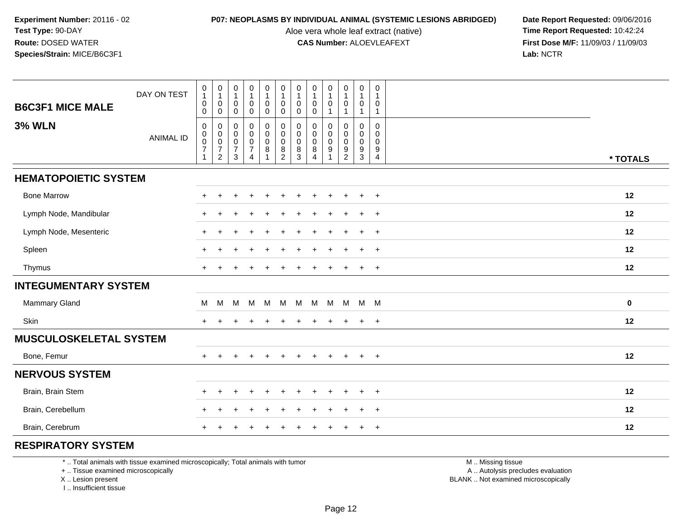Aloe vera whole leaf extract (native)<br>**CAS Number:** ALOEVLEAFEXT

**P07: NEOPLASMS BY INDIVIDUAL ANIMAL (SYSTEMIC LESIONS ABRIDGED)** Date Report Requested: 09/06/2016<br>Aloe vera whole leaf extract (native) **Time Report Requested:** 10:42:24 **First Dose M/F:** 11/09/03 / 11/09/03<br>Lab: NCTR **Lab:** NCTR

| <b>B6C3F1 MICE MALE</b>       | DAY ON TEST      | $\pmb{0}$<br>$\mathbf{1}$<br>$\mathbf 0$                                  | $\pmb{0}$<br>$\mathbf{1}$<br>0                              | $\pmb{0}$<br>$\mathbf{1}$<br>$\mathbf 0$               | $\pmb{0}$<br>$\mathbf{1}$<br>$\mathbf 0$                             | $\pmb{0}$<br>$\mathbf{1}$<br>$\mathbf 0$                                                      | $\begin{smallmatrix}0\\1\end{smallmatrix}$<br>$\mathbf 0$           | 0<br>$\mathbf{1}$<br>$\mathbf 0$              | $\pmb{0}$<br>$\mathbf{1}$<br>$\mathbf 0$                   | $\pmb{0}$<br>1<br>$\mathbf 0$         | $\pmb{0}$<br>$\mathbf{1}$<br>$\mathbf 0$                 | 0<br>$\overline{1}$<br>$\mathbf 0$                             | 0<br>1<br>0                                         |          |
|-------------------------------|------------------|---------------------------------------------------------------------------|-------------------------------------------------------------|--------------------------------------------------------|----------------------------------------------------------------------|-----------------------------------------------------------------------------------------------|---------------------------------------------------------------------|-----------------------------------------------|------------------------------------------------------------|---------------------------------------|----------------------------------------------------------|----------------------------------------------------------------|-----------------------------------------------------|----------|
|                               |                  | $\pmb{0}$                                                                 | $\mathsf{O}$                                                | $\boldsymbol{0}$                                       | $\pmb{0}$                                                            | $\pmb{0}$                                                                                     | $\mathbf 0$                                                         | $\mathbf 0$                                   | $\mathbf 0$                                                |                                       | $\overline{1}$                                           | $\mathbf{1}$                                                   | 1                                                   |          |
| <b>3% WLN</b>                 | <b>ANIMAL ID</b> | $\mathbf 0$<br>$\mathbf 0$<br>$\pmb{0}$<br>$\overline{7}$<br>$\mathbf{1}$ | 0<br>$_{\rm 0}^{\rm 0}$<br>$\overline{7}$<br>$\overline{c}$ | 0<br>$\mathbf 0$<br>$\pmb{0}$<br>$\boldsymbol{7}$<br>3 | $\pmb{0}$<br>$\overline{0}$<br>0<br>$\overline{7}$<br>$\overline{4}$ | $\begin{smallmatrix} 0\\0 \end{smallmatrix}$<br>$\boldsymbol{0}$<br>$\bf 8$<br>$\overline{1}$ | $\pmb{0}$<br>$\ddot{\mathbf{0}}$<br>$\overline{0}$<br>$\frac{8}{2}$ | 0<br>$\pmb{0}$<br>$\mathbf 0$<br>$\bf 8$<br>3 | 0<br>$\pmb{0}$<br>$\mathbf 0$<br>$\bf 8$<br>$\overline{4}$ | $\Omega$<br>$\mathbf 0$<br>0<br>$9\,$ | 0<br>$\mathbf 0$<br>$\mathsf{O}\xspace$<br>$\frac{9}{2}$ | $\mathbf 0$<br>$\mathbf 0$<br>$\mathbf 0$<br>9<br>$\mathbf{3}$ | $\mathbf 0$<br>$\mathbf 0$<br>$\mathbf 0$<br>9<br>4 | * TOTALS |
| <b>HEMATOPOIETIC SYSTEM</b>   |                  |                                                                           |                                                             |                                                        |                                                                      |                                                                                               |                                                                     |                                               |                                                            |                                       |                                                          |                                                                |                                                     |          |
| <b>Bone Marrow</b>            |                  |                                                                           |                                                             |                                                        |                                                                      |                                                                                               |                                                                     |                                               |                                                            |                                       | $\ddot{}$                                                | $\ddot{}$                                                      | $\overline{+}$                                      | 12       |
| Lymph Node, Mandibular        |                  |                                                                           |                                                             |                                                        |                                                                      |                                                                                               |                                                                     |                                               |                                                            |                                       |                                                          |                                                                | $\overline{ }$                                      | 12       |
| Lymph Node, Mesenteric        |                  | $+$                                                                       |                                                             |                                                        |                                                                      |                                                                                               |                                                                     |                                               |                                                            |                                       |                                                          | $\ddot{}$                                                      | $\ddot{}$                                           | 12       |
| Spleen                        |                  |                                                                           |                                                             |                                                        |                                                                      |                                                                                               |                                                                     |                                               |                                                            |                                       |                                                          |                                                                | $\overline{ }$                                      | 12       |
| Thymus                        |                  |                                                                           |                                                             |                                                        |                                                                      |                                                                                               |                                                                     |                                               |                                                            |                                       |                                                          |                                                                | $\ddot{}$                                           | 12       |
| <b>INTEGUMENTARY SYSTEM</b>   |                  |                                                                           |                                                             |                                                        |                                                                      |                                                                                               |                                                                     |                                               |                                                            |                                       |                                                          |                                                                |                                                     |          |
| Mammary Gland                 |                  | M                                                                         | M                                                           | M                                                      | M                                                                    | M                                                                                             | M                                                                   | M                                             | M                                                          | M M                                   |                                                          | M M                                                            |                                                     | $\bf{0}$ |
| Skin                          |                  | $+$                                                                       |                                                             |                                                        |                                                                      |                                                                                               |                                                                     |                                               |                                                            | $\div$                                | $\ddot{}$                                                | $+$                                                            | $+$                                                 | 12       |
| <b>MUSCULOSKELETAL SYSTEM</b> |                  |                                                                           |                                                             |                                                        |                                                                      |                                                                                               |                                                                     |                                               |                                                            |                                       |                                                          |                                                                |                                                     |          |
| Bone, Femur                   |                  | $+$                                                                       |                                                             |                                                        |                                                                      |                                                                                               |                                                                     |                                               |                                                            | $\ddot{}$                             | $\ddot{}$                                                | $+$                                                            | $\overline{+}$                                      | 12       |
| <b>NERVOUS SYSTEM</b>         |                  |                                                                           |                                                             |                                                        |                                                                      |                                                                                               |                                                                     |                                               |                                                            |                                       |                                                          |                                                                |                                                     |          |
| Brain, Brain Stem             |                  |                                                                           |                                                             |                                                        |                                                                      |                                                                                               |                                                                     |                                               |                                                            |                                       |                                                          |                                                                | $\ddot{}$                                           | 12       |
| Brain, Cerebellum             |                  |                                                                           |                                                             |                                                        |                                                                      |                                                                                               |                                                                     |                                               |                                                            |                                       |                                                          | ÷.                                                             | $\ddot{}$                                           | 12       |
| Brain, Cerebrum               |                  |                                                                           |                                                             |                                                        |                                                                      |                                                                                               |                                                                     |                                               |                                                            |                                       |                                                          |                                                                | $\overline{+}$                                      | 12       |

## **RESPIRATORY SYSTEM**

\* .. Total animals with tissue examined microscopically; Total animals with tumor

+ .. Tissue examined microscopically

X .. Lesion present

I .. Insufficient tissue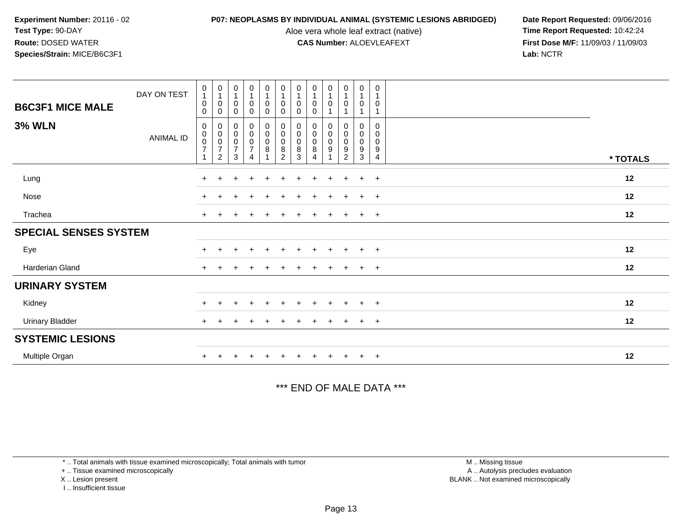Aloe vera whole leaf extract (native)<br>**CAS Number:** ALOEVLEAFEXT

**P07: NEOPLASMS BY INDIVIDUAL ANIMAL (SYSTEMIC LESIONS ABRIDGED)** Date Report Requested: 09/06/2016<br>Aloe vera whole leaf extract (native) **Time Report Requested:** 10:42:24 **First Dose M/F:** 11/09/03 / 11/09/03<br>Lab: NCTR **Lab:** NCTR

| <b>B6C3F1 MICE MALE</b><br><b>3% WLN</b> | DAY ON TEST<br>ANIMAL ID | $\mathbf 0$<br>$\mathbf{1}$<br>$\mathbf 0$<br>0<br>0<br>$\pmb{0}$<br>$\pmb{0}$<br>$\overline{7}$ | $\mathbf 0$<br>$\overline{1}$<br>0<br>0<br>0<br>0<br>0<br>$\boldsymbol{7}$ | $\begin{smallmatrix}0\\1\end{smallmatrix}$<br>$\mathbf 0$<br>$\mathbf 0$<br>$_{\rm 0}^{\rm 0}$<br>$\pmb{0}$<br>$\boldsymbol{7}$ | $\begin{smallmatrix}0\\1\end{smallmatrix}$<br>$\pmb{0}$<br>0<br>$\begin{smallmatrix} 0\\0 \end{smallmatrix}$<br>$\pmb{0}$<br>$\overline{7}$ | $\begin{smallmatrix}0\\1\end{smallmatrix}$<br>$\pmb{0}$<br>$\mathbf 0$<br>$\begin{smallmatrix} 0\\0 \end{smallmatrix}$<br>$\mathbf 0$<br>8 | $\begin{smallmatrix}0\1\end{smallmatrix}$<br>$\pmb{0}$<br>0<br>$\begin{smallmatrix}0\\0\\0\\0\end{smallmatrix}$<br>8 | $\pmb{0}$<br>$\overline{1}$<br>0<br>0<br>0<br>0<br>0<br>8 | $\begin{smallmatrix}0\\1\end{smallmatrix}$<br>$\pmb{0}$<br>$\mathbf 0$<br>$\begin{smallmatrix} 0\\0 \end{smallmatrix}$<br>$\pmb{0}$<br>8 | $\begin{smallmatrix}0\\1\end{smallmatrix}$<br>$\pmb{0}$<br>1<br>0<br>$\pmb{0}$<br>$\pmb{0}$<br>9 | $\mathbf 0$<br>$\mathbf{1}$<br>$\pmb{0}$<br>1<br>0<br>$\pmb{0}$<br>$\pmb{0}$<br>9 | $\mathbf 0$<br>$\mathbf{1}$<br>$\mathbf 0$<br>0<br>0<br>$\mathsf{O}\xspace$<br>9 | $\boldsymbol{0}$<br>$\mathbf{1}$<br>0<br>0<br>0<br>0<br>9 |          |  |
|------------------------------------------|--------------------------|--------------------------------------------------------------------------------------------------|----------------------------------------------------------------------------|---------------------------------------------------------------------------------------------------------------------------------|---------------------------------------------------------------------------------------------------------------------------------------------|--------------------------------------------------------------------------------------------------------------------------------------------|----------------------------------------------------------------------------------------------------------------------|-----------------------------------------------------------|------------------------------------------------------------------------------------------------------------------------------------------|--------------------------------------------------------------------------------------------------|-----------------------------------------------------------------------------------|----------------------------------------------------------------------------------|-----------------------------------------------------------|----------|--|
|                                          |                          | $\mathbf{1}$                                                                                     | $\overline{2}$                                                             | 3                                                                                                                               | 4                                                                                                                                           |                                                                                                                                            | $\overline{2}$                                                                                                       | 3                                                         | 4                                                                                                                                        |                                                                                                  | $\overline{c}$                                                                    | 3                                                                                | $\overline{4}$                                            | * TOTALS |  |
| Lung                                     |                          | $+$                                                                                              | $\pm$                                                                      |                                                                                                                                 | $\pm$                                                                                                                                       | $\div$                                                                                                                                     | $\pm$                                                                                                                | $\pm$                                                     |                                                                                                                                          | $\ddot{}$                                                                                        | $\pm$                                                                             | $+$                                                                              | $+$                                                       | 12       |  |
| Nose                                     |                          | $\pm$                                                                                            |                                                                            |                                                                                                                                 | $\ddot{}$                                                                                                                                   |                                                                                                                                            | $\ddot{}$                                                                                                            | $\pm$                                                     | $\div$                                                                                                                                   | $\overline{+}$                                                                                   | $\pm$                                                                             | $+$                                                                              | $+$                                                       | 12       |  |
| Trachea                                  |                          | $\ddot{}$                                                                                        |                                                                            |                                                                                                                                 |                                                                                                                                             |                                                                                                                                            |                                                                                                                      |                                                           |                                                                                                                                          |                                                                                                  |                                                                                   | $+$                                                                              | $+$                                                       | 12       |  |
| <b>SPECIAL SENSES SYSTEM</b>             |                          |                                                                                                  |                                                                            |                                                                                                                                 |                                                                                                                                             |                                                                                                                                            |                                                                                                                      |                                                           |                                                                                                                                          |                                                                                                  |                                                                                   |                                                                                  |                                                           |          |  |
| Eye                                      |                          | $+$                                                                                              | $+$                                                                        | $\ddot{}$                                                                                                                       | $+$                                                                                                                                         | $\ddot{}$                                                                                                                                  | $+$                                                                                                                  | $+$                                                       | $\ddot{}$                                                                                                                                | $+$                                                                                              | $+$                                                                               | $+$                                                                              | $+$                                                       | 12       |  |
| <b>Harderian Gland</b>                   |                          | $\ddot{}$                                                                                        |                                                                            |                                                                                                                                 |                                                                                                                                             |                                                                                                                                            | $\pm$                                                                                                                | ÷.                                                        |                                                                                                                                          | $\ddot{}$                                                                                        |                                                                                   | $+$                                                                              | $^{+}$                                                    | 12       |  |
| <b>URINARY SYSTEM</b>                    |                          |                                                                                                  |                                                                            |                                                                                                                                 |                                                                                                                                             |                                                                                                                                            |                                                                                                                      |                                                           |                                                                                                                                          |                                                                                                  |                                                                                   |                                                                                  |                                                           |          |  |
| Kidney                                   |                          | $+$                                                                                              | $\pm$                                                                      | $\pm$                                                                                                                           | $+$                                                                                                                                         | $\pm$                                                                                                                                      | $+$                                                                                                                  | $\pm$                                                     | $\pm$                                                                                                                                    | $+$                                                                                              | $\overline{+}$                                                                    | $+$                                                                              | $+$                                                       | 12       |  |
| <b>Urinary Bladder</b>                   |                          | $+$                                                                                              |                                                                            |                                                                                                                                 |                                                                                                                                             |                                                                                                                                            |                                                                                                                      | +                                                         |                                                                                                                                          | $\ddot{}$                                                                                        |                                                                                   | $+$                                                                              | $+$                                                       | 12       |  |
| <b>SYSTEMIC LESIONS</b>                  |                          |                                                                                                  |                                                                            |                                                                                                                                 |                                                                                                                                             |                                                                                                                                            |                                                                                                                      |                                                           |                                                                                                                                          |                                                                                                  |                                                                                   |                                                                                  |                                                           |          |  |
| Multiple Organ                           |                          |                                                                                                  |                                                                            |                                                                                                                                 |                                                                                                                                             |                                                                                                                                            |                                                                                                                      |                                                           |                                                                                                                                          | $\pm$                                                                                            |                                                                                   | $+$                                                                              | $+$                                                       | 12       |  |

\*\*\* END OF MALE DATA \*\*\*

\* .. Total animals with tissue examined microscopically; Total animals with tumor

+ .. Tissue examined microscopically

X .. Lesion present

I .. Insufficient tissue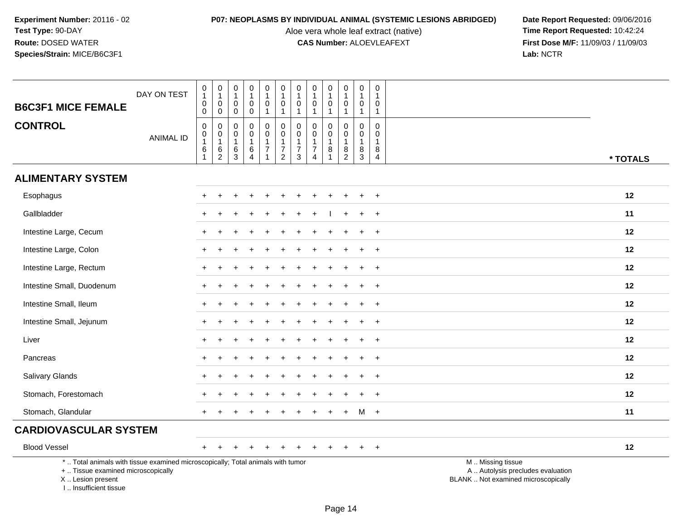Aloe vera whole leaf extract (native)<br>**CAS Number:** ALOEVLEAFEXT

| <b>B6C3F1 MICE FEMALE</b>                                                                                                                                           | DAY ON TEST      | 0<br>$\mathbf{1}$<br>$\pmb{0}$<br>0                             | $\pmb{0}$<br>$\mathbf{1}$<br>$\mathbf 0$<br>0                              | $\boldsymbol{0}$<br>$\overline{1}$<br>$\mathbf 0$<br>0 | $\pmb{0}$<br>$\mathbf{1}$<br>$\mathbf 0$<br>0                       | $\pmb{0}$<br>$\mathbf{1}$<br>$\pmb{0}$<br>$\mathbf{1}$                       | $\mathbf 0$<br>$\overline{1}$<br>$\mathsf 0$<br>$\mathbf{1}$ | $\mathbf 0$<br>$\mathbf{1}$<br>$\mathbf 0$<br>$\mathbf{1}$ | $\pmb{0}$<br>$\mathbf{1}$<br>0<br>$\mathbf{1}$                              | $\pmb{0}$<br>$\mathbf{1}$<br>$\mathbf 0$<br>$\mathbf{1}$ | 0<br>$\mathbf{1}$<br>$\mathbf 0$<br>$\mathbf{1}$                                   | $\pmb{0}$<br>$\overline{1}$<br>$\mathbf 0$<br>$\overline{1}$ | 0<br>$\mathbf{1}$<br>$\mathbf 0$<br>$\mathbf{1}$                  |                                                                                               |
|---------------------------------------------------------------------------------------------------------------------------------------------------------------------|------------------|-----------------------------------------------------------------|----------------------------------------------------------------------------|--------------------------------------------------------|---------------------------------------------------------------------|------------------------------------------------------------------------------|--------------------------------------------------------------|------------------------------------------------------------|-----------------------------------------------------------------------------|----------------------------------------------------------|------------------------------------------------------------------------------------|--------------------------------------------------------------|-------------------------------------------------------------------|-----------------------------------------------------------------------------------------------|
| <b>CONTROL</b>                                                                                                                                                      | <b>ANIMAL ID</b> | $\mathbf 0$<br>$\mathbf 0$<br>$\mathbf{1}$<br>6<br>$\mathbf{1}$ | $\mathbf 0$<br>$\begin{smallmatrix}0\\1\end{smallmatrix}$<br>$\frac{6}{2}$ | $\mathbf 0$<br>0<br>$\overline{1}$<br>6<br>3           | $\mathbf 0$<br>$\mathbf 0$<br>$\overline{1}$<br>6<br>$\overline{4}$ | $\mathbf 0$<br>$\mathbf 0$<br>$\mathbf{1}$<br>$\overline{7}$<br>$\mathbf{1}$ | $\pmb{0}$<br>$\mathbf 0$<br>$\mathbf{1}$<br>$\frac{7}{2}$    | $\mathbf 0$<br>0<br>$\mathbf{1}$<br>$\overline{7}$<br>3    | $\Omega$<br>$\mathbf 0$<br>$\mathbf{1}$<br>$\overline{7}$<br>$\overline{4}$ | $\mathbf 0$<br>$\mathbf 0$<br>$\mathbf{1}$<br>8          | $\mathbf 0$<br>0<br>$\mathbf{1}$<br>$\begin{smallmatrix} 8 \\ 2 \end{smallmatrix}$ | $\mathbf 0$<br>$\mathbf 0$<br>$\overline{1}$<br>8<br>3       | $\mathbf 0$<br>$\mathbf 0$<br>$\mathbf{1}$<br>8<br>$\overline{4}$ | * TOTALS                                                                                      |
| <b>ALIMENTARY SYSTEM</b>                                                                                                                                            |                  |                                                                 |                                                                            |                                                        |                                                                     |                                                                              |                                                              |                                                            |                                                                             |                                                          |                                                                                    |                                                              |                                                                   |                                                                                               |
| Esophagus                                                                                                                                                           |                  |                                                                 |                                                                            |                                                        |                                                                     |                                                                              |                                                              |                                                            |                                                                             |                                                          |                                                                                    |                                                              | $\ddot{}$                                                         | 12                                                                                            |
| Gallbladder                                                                                                                                                         |                  |                                                                 |                                                                            |                                                        |                                                                     |                                                                              |                                                              |                                                            |                                                                             |                                                          |                                                                                    |                                                              | $\ddot{}$                                                         | 11                                                                                            |
| Intestine Large, Cecum                                                                                                                                              |                  |                                                                 |                                                                            |                                                        |                                                                     |                                                                              |                                                              |                                                            |                                                                             |                                                          |                                                                                    |                                                              | $\ddot{}$                                                         | 12                                                                                            |
| Intestine Large, Colon                                                                                                                                              |                  | $+$                                                             |                                                                            |                                                        |                                                                     |                                                                              |                                                              |                                                            |                                                                             |                                                          |                                                                                    |                                                              | $\ddot{}$                                                         | 12                                                                                            |
| Intestine Large, Rectum                                                                                                                                             |                  |                                                                 |                                                                            |                                                        |                                                                     |                                                                              |                                                              |                                                            |                                                                             |                                                          |                                                                                    |                                                              | $\ddot{}$                                                         | 12                                                                                            |
| Intestine Small, Duodenum                                                                                                                                           |                  |                                                                 |                                                                            |                                                        |                                                                     |                                                                              |                                                              |                                                            |                                                                             |                                                          |                                                                                    |                                                              | $\ddot{}$                                                         | 12                                                                                            |
| Intestine Small, Ileum                                                                                                                                              |                  | $+$                                                             | $\div$                                                                     |                                                        |                                                                     |                                                                              |                                                              |                                                            |                                                                             |                                                          |                                                                                    | $\ddot{}$                                                    | $\ddot{}$                                                         | 12                                                                                            |
| Intestine Small, Jejunum                                                                                                                                            |                  |                                                                 |                                                                            |                                                        |                                                                     |                                                                              |                                                              |                                                            |                                                                             |                                                          |                                                                                    |                                                              | $\ddot{}$                                                         | 12                                                                                            |
| Liver                                                                                                                                                               |                  |                                                                 |                                                                            |                                                        |                                                                     |                                                                              |                                                              |                                                            |                                                                             |                                                          |                                                                                    |                                                              | $\ddot{}$                                                         | 12                                                                                            |
| Pancreas                                                                                                                                                            |                  | $\pm$                                                           |                                                                            |                                                        |                                                                     |                                                                              |                                                              |                                                            |                                                                             |                                                          |                                                                                    |                                                              | $\ddot{}$                                                         | 12                                                                                            |
| Salivary Glands                                                                                                                                                     |                  |                                                                 |                                                                            |                                                        |                                                                     |                                                                              |                                                              |                                                            |                                                                             |                                                          |                                                                                    |                                                              | $\ddot{}$                                                         | 12                                                                                            |
| Stomach, Forestomach                                                                                                                                                |                  |                                                                 |                                                                            |                                                        |                                                                     |                                                                              |                                                              |                                                            |                                                                             |                                                          |                                                                                    |                                                              | $\ddot{}$                                                         | 12                                                                                            |
| Stomach, Glandular                                                                                                                                                  |                  |                                                                 |                                                                            |                                                        |                                                                     |                                                                              |                                                              |                                                            |                                                                             |                                                          |                                                                                    | M                                                            | $+$                                                               | 11                                                                                            |
| <b>CARDIOVASCULAR SYSTEM</b>                                                                                                                                        |                  |                                                                 |                                                                            |                                                        |                                                                     |                                                                              |                                                              |                                                            |                                                                             |                                                          |                                                                                    |                                                              |                                                                   |                                                                                               |
| <b>Blood Vessel</b>                                                                                                                                                 |                  | $+$                                                             |                                                                            |                                                        |                                                                     |                                                                              |                                                              |                                                            |                                                                             |                                                          |                                                                                    |                                                              | $+$                                                               | 12                                                                                            |
| *  Total animals with tissue examined microscopically; Total animals with tumor<br>+  Tissue examined microscopically<br>X  Lesion present<br>I Insufficient tissue |                  |                                                                 |                                                                            |                                                        |                                                                     |                                                                              |                                                              |                                                            |                                                                             |                                                          |                                                                                    |                                                              |                                                                   | M  Missing tissue<br>A  Autolysis precludes evaluation<br>BLANK  Not examined microscopically |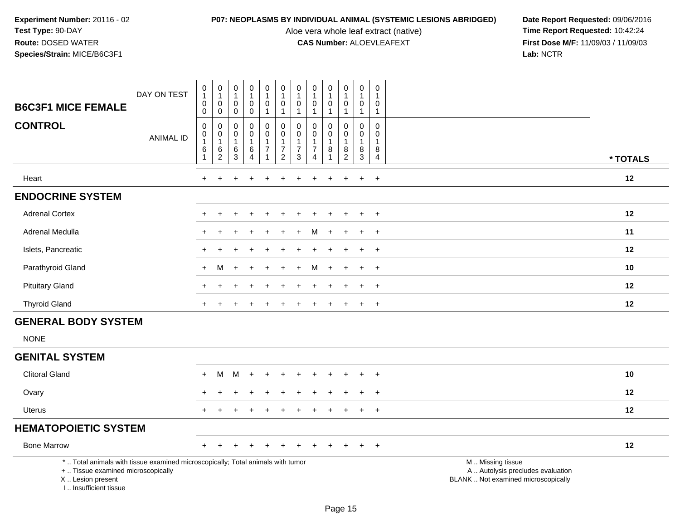Aloe vera whole leaf extract (native)<br>**CAS Number:** ALOEVLEAFEXT

| <b>B6C3F1 MICE FEMALE</b>                                                                                                                                           | DAY ON TEST      | $\mathbf 0$<br>$\mathbf{1}$<br>$\mathbf 0$<br>$\mathbf 0$     | $\mathbf 0$<br>$\mathbf{1}$<br>$\overline{0}$<br>$\mathbf 0$        | $\pmb{0}$<br>$\mathbf{1}$<br>$\mathbf 0$<br>0 | $\mathbf 0$<br>$\mathbf{1}$<br>$\mathbf 0$<br>$\mathbf 0$ | $\pmb{0}$<br>$\mathbf{1}$<br>$\mathbf 0$<br>$\mathbf{1}$                                 | $\pmb{0}$<br>$\mathbf{1}$<br>$\mathbf 0$<br>$\overline{1}$                   | 0<br>$\overline{1}$<br>$\mathbf 0$<br>$\mathbf{1}$ | 0<br>$\mathbf{1}$<br>$\mathbf 0$<br>$\mathbf{1}$                            | $\pmb{0}$<br>$\mathbf{1}$<br>$\mathbf 0$<br>$\mathbf{1}$ | $\mathbf 0$<br>$\mathbf{1}$<br>$\mathbf 0$<br>$\overline{1}$ | $\boldsymbol{0}$<br>$\mathbf{1}$<br>$\mathbf 0$<br>$\mathbf{1}$        | $\mathbf 0$<br>$\mathbf{1}$<br>$\mathbf 0$<br>$\overline{1}$      |                                                                                               |
|---------------------------------------------------------------------------------------------------------------------------------------------------------------------|------------------|---------------------------------------------------------------|---------------------------------------------------------------------|-----------------------------------------------|-----------------------------------------------------------|------------------------------------------------------------------------------------------|------------------------------------------------------------------------------|----------------------------------------------------|-----------------------------------------------------------------------------|----------------------------------------------------------|--------------------------------------------------------------|------------------------------------------------------------------------|-------------------------------------------------------------------|-----------------------------------------------------------------------------------------------|
| <b>CONTROL</b>                                                                                                                                                      | <b>ANIMAL ID</b> | $\mathbf 0$<br>0<br>$\overline{1}$<br>$\,6$<br>$\overline{1}$ | $\mathbf 0$<br>$\pmb{0}$<br>$\overline{1}$<br>$\,6\,$<br>$\sqrt{2}$ | $\mathbf 0$<br>0<br>$\mathbf{1}$<br>6<br>3    | $\mathbf 0$<br>0<br>$\mathbf{1}$<br>6<br>$\overline{4}$   | $\mathbf 0$<br>$\mathsf{O}\xspace$<br>$\mathbf{1}$<br>$\boldsymbol{7}$<br>$\overline{1}$ | $\mathbf 0$<br>$\pmb{0}$<br>$\mathbf{1}$<br>$\overline{7}$<br>$\overline{2}$ | 0<br>0<br>-1<br>$\overline{7}$<br>3                | $\Omega$<br>$\mathbf 0$<br>$\mathbf{1}$<br>$\overline{7}$<br>$\overline{4}$ | 0<br>0<br>1<br>8                                         | 0<br>$\mathbf 0$<br>$\overline{1}$<br>8<br>$\overline{2}$    | $\mathbf 0$<br>$\boldsymbol{0}$<br>$\mathbf{1}$<br>8<br>$\mathfrak{S}$ | $\mathbf 0$<br>$\mathbf 0$<br>$\mathbf{1}$<br>8<br>$\overline{4}$ | * TOTALS                                                                                      |
| Heart                                                                                                                                                               |                  | $\ddot{}$                                                     | ÷                                                                   |                                               |                                                           |                                                                                          |                                                                              |                                                    |                                                                             | $\overline{ }$                                           |                                                              | $\ddot{}$                                                              | $+$                                                               | 12                                                                                            |
| <b>ENDOCRINE SYSTEM</b>                                                                                                                                             |                  |                                                               |                                                                     |                                               |                                                           |                                                                                          |                                                                              |                                                    |                                                                             |                                                          |                                                              |                                                                        |                                                                   |                                                                                               |
| <b>Adrenal Cortex</b>                                                                                                                                               |                  |                                                               |                                                                     |                                               |                                                           |                                                                                          |                                                                              |                                                    |                                                                             |                                                          |                                                              |                                                                        | $\ddot{}$                                                         | 12                                                                                            |
| Adrenal Medulla                                                                                                                                                     |                  |                                                               |                                                                     |                                               |                                                           |                                                                                          |                                                                              |                                                    | M                                                                           |                                                          |                                                              | $\ddot{}$                                                              | $\overline{+}$                                                    | 11                                                                                            |
| Islets, Pancreatic                                                                                                                                                  |                  | $\pm$                                                         |                                                                     |                                               |                                                           |                                                                                          |                                                                              |                                                    |                                                                             |                                                          |                                                              | $\ddot{}$                                                              | $\ddot{}$                                                         | 12                                                                                            |
| Parathyroid Gland                                                                                                                                                   |                  | $+$                                                           | м                                                                   |                                               |                                                           |                                                                                          |                                                                              |                                                    | м                                                                           |                                                          |                                                              | $\ddot{}$                                                              | $+$                                                               | 10                                                                                            |
| <b>Pituitary Gland</b>                                                                                                                                              |                  |                                                               |                                                                     |                                               |                                                           |                                                                                          |                                                                              |                                                    |                                                                             |                                                          |                                                              |                                                                        | $\ddot{}$                                                         | 12                                                                                            |
| <b>Thyroid Gland</b>                                                                                                                                                |                  |                                                               |                                                                     |                                               |                                                           |                                                                                          |                                                                              |                                                    |                                                                             |                                                          |                                                              | +                                                                      | $\overline{+}$                                                    | 12                                                                                            |
| <b>GENERAL BODY SYSTEM</b>                                                                                                                                          |                  |                                                               |                                                                     |                                               |                                                           |                                                                                          |                                                                              |                                                    |                                                                             |                                                          |                                                              |                                                                        |                                                                   |                                                                                               |
| <b>NONE</b>                                                                                                                                                         |                  |                                                               |                                                                     |                                               |                                                           |                                                                                          |                                                                              |                                                    |                                                                             |                                                          |                                                              |                                                                        |                                                                   |                                                                                               |
| <b>GENITAL SYSTEM</b>                                                                                                                                               |                  |                                                               |                                                                     |                                               |                                                           |                                                                                          |                                                                              |                                                    |                                                                             |                                                          |                                                              |                                                                        |                                                                   |                                                                                               |
| <b>Clitoral Gland</b>                                                                                                                                               |                  |                                                               | M                                                                   | M                                             |                                                           |                                                                                          |                                                                              |                                                    |                                                                             |                                                          |                                                              |                                                                        |                                                                   | 10                                                                                            |
| Ovary                                                                                                                                                               |                  |                                                               |                                                                     |                                               |                                                           |                                                                                          |                                                                              |                                                    |                                                                             |                                                          |                                                              |                                                                        | $\ddot{}$                                                         | 12                                                                                            |
| <b>Uterus</b>                                                                                                                                                       |                  | $+$                                                           |                                                                     |                                               |                                                           |                                                                                          |                                                                              |                                                    |                                                                             |                                                          |                                                              | $+$                                                                    | $\ddot{}$                                                         | 12                                                                                            |
| <b>HEMATOPOIETIC SYSTEM</b>                                                                                                                                         |                  |                                                               |                                                                     |                                               |                                                           |                                                                                          |                                                                              |                                                    |                                                                             |                                                          |                                                              |                                                                        |                                                                   |                                                                                               |
| <b>Bone Marrow</b>                                                                                                                                                  |                  |                                                               |                                                                     |                                               |                                                           |                                                                                          |                                                                              |                                                    |                                                                             |                                                          |                                                              | +                                                                      | $\overline{+}$                                                    | 12                                                                                            |
| *  Total animals with tissue examined microscopically; Total animals with tumor<br>+  Tissue examined microscopically<br>X  Lesion present<br>I Insufficient tissue |                  |                                                               |                                                                     |                                               |                                                           |                                                                                          |                                                                              |                                                    |                                                                             |                                                          |                                                              |                                                                        |                                                                   | M  Missing tissue<br>A  Autolysis precludes evaluation<br>BLANK  Not examined microscopically |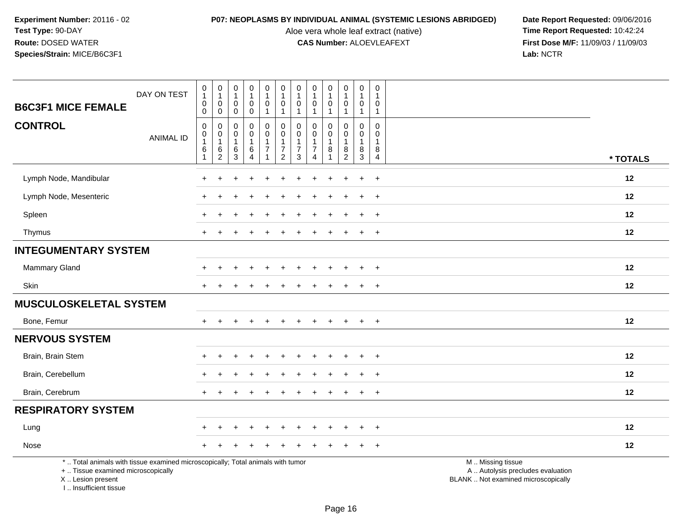Aloe vera whole leaf extract (native)<br>**CAS Number:** ALOEVLEAFEXT

**P07: NEOPLASMS BY INDIVIDUAL ANIMAL (SYSTEMIC LESIONS ABRIDGED)** Date Report Requested: 09/06/2016<br>Aloe vera whole leaf extract (native) **Time Report Requested:** 10:42:24 **First Dose M/F:** 11/09/03 / 11/09/03<br>Lab: NCTR **Lab:** NCTR

|                                                                                                                                            | DAY ON TEST      | $\pmb{0}$<br>$\mathbf{1}$<br>$\mathsf 0$  | $\pmb{0}$<br>$\mathbf{1}$<br>$\mathbf 0$        | $\pmb{0}$<br>$\overline{1}$<br>$\mathbf 0$ | $\begin{smallmatrix}0\\1\end{smallmatrix}$<br>0 | 0<br>$\mathbf{1}$<br>0             | $\pmb{0}$<br>$\overline{1}$<br>$\pmb{0}$                       | $\pmb{0}$<br>$\overline{1}$<br>$\mathbf 0$           | $\pmb{0}$<br>$\mathbf{1}$<br>$\mathbf 0$ | 0<br>$\mathbf{1}$<br>$\mathbf 0$   | 0<br>$\mathbf{1}$<br>$\mathbf 0$                      | $\mathsf 0$<br>$\overline{1}$<br>0       | $\mathbf 0$<br>$\overline{1}$<br>0                |                                                                                               |          |
|--------------------------------------------------------------------------------------------------------------------------------------------|------------------|-------------------------------------------|-------------------------------------------------|--------------------------------------------|-------------------------------------------------|------------------------------------|----------------------------------------------------------------|------------------------------------------------------|------------------------------------------|------------------------------------|-------------------------------------------------------|------------------------------------------|---------------------------------------------------|-----------------------------------------------------------------------------------------------|----------|
| <b>B6C3F1 MICE FEMALE</b>                                                                                                                  |                  | $\mathbf 0$                               | $\mathsf{O}\xspace$                             | $\mathbf 0$                                | $\pmb{0}$                                       | $\mathbf{1}$                       | $\overline{1}$                                                 | $\overline{1}$                                       | $\mathbf{1}$                             | 1                                  | $\mathbf{1}$                                          | $\mathbf{1}$                             | $\overline{1}$                                    |                                                                                               |          |
| <b>CONTROL</b>                                                                                                                             | <b>ANIMAL ID</b> | $\mathbf 0$<br>0<br>$\mathbf{1}$<br>$\,6$ | $\mathbf 0$<br>$\mathbf 0$<br>$\mathbf{1}$<br>6 | 0<br>$\mathbf 0$<br>$\mathbf{1}$<br>6      | 0<br>$\mathsf 0$<br>$\mathbf 1$<br>6            | 0<br>$\mathbf 0$<br>$\overline{7}$ | $\mathbf 0$<br>$\mathbf 0$<br>$\mathbf{1}$<br>$\boldsymbol{7}$ | 0<br>$\mathbf 0$<br>$\overline{1}$<br>$\overline{7}$ | 0<br>$\mathbf 0$<br>$\overline{7}$       | $\Omega$<br>$\mathbf 0$<br>$\bf 8$ | $\mathbf 0$<br>$\mathbf 0$<br>$\mathbf{1}$<br>$\bf 8$ | $\Omega$<br>0<br>$\mathbf{1}$<br>$\,8\,$ | $\mathbf 0$<br>$\mathbf 0$<br>$\overline{1}$<br>8 |                                                                                               |          |
|                                                                                                                                            |                  | $\mathbf{1}$                              | $\overline{c}$                                  | 3                                          | $\overline{4}$                                  |                                    | $\overline{2}$                                                 | $\mathbf{3}$                                         | $\overline{A}$                           |                                    | $\overline{2}$                                        | 3                                        | $\overline{4}$                                    |                                                                                               | * TOTALS |
| Lymph Node, Mandibular                                                                                                                     |                  | $\div$                                    | ÷                                               |                                            |                                                 |                                    |                                                                |                                                      |                                          |                                    | ÷                                                     | $\ddot{}$                                | $\ddot{}$                                         |                                                                                               | 12       |
| Lymph Node, Mesenteric                                                                                                                     |                  |                                           |                                                 |                                            |                                                 |                                    |                                                                |                                                      |                                          |                                    |                                                       | $\ddot{}$                                | $\pm$                                             |                                                                                               | 12       |
| Spleen                                                                                                                                     |                  |                                           |                                                 |                                            |                                                 |                                    |                                                                |                                                      |                                          |                                    |                                                       |                                          | $\ddot{}$                                         |                                                                                               | 12       |
| Thymus                                                                                                                                     |                  | $\div$                                    |                                                 |                                            |                                                 |                                    |                                                                |                                                      |                                          |                                    |                                                       | $+$                                      | $\overline{+}$                                    |                                                                                               | 12       |
| <b>INTEGUMENTARY SYSTEM</b>                                                                                                                |                  |                                           |                                                 |                                            |                                                 |                                    |                                                                |                                                      |                                          |                                    |                                                       |                                          |                                                   |                                                                                               |          |
| Mammary Gland                                                                                                                              |                  |                                           |                                                 |                                            |                                                 |                                    |                                                                |                                                      |                                          |                                    |                                                       |                                          | $\ddot{}$                                         |                                                                                               | 12       |
| Skin                                                                                                                                       |                  |                                           |                                                 |                                            |                                                 |                                    |                                                                |                                                      |                                          |                                    |                                                       | $\ddot{}$                                | $\pm$                                             |                                                                                               | 12       |
| <b>MUSCULOSKELETAL SYSTEM</b>                                                                                                              |                  |                                           |                                                 |                                            |                                                 |                                    |                                                                |                                                      |                                          |                                    |                                                       |                                          |                                                   |                                                                                               |          |
| Bone, Femur                                                                                                                                |                  | $+$                                       | $\div$                                          |                                            | $\ddot{}$                                       | $+$                                | $\div$                                                         | ÷                                                    |                                          | $\ddot{+}$                         | $+$                                                   | $+$                                      | $+$                                               |                                                                                               | 12       |
| <b>NERVOUS SYSTEM</b>                                                                                                                      |                  |                                           |                                                 |                                            |                                                 |                                    |                                                                |                                                      |                                          |                                    |                                                       |                                          |                                                   |                                                                                               |          |
| Brain, Brain Stem                                                                                                                          |                  |                                           |                                                 |                                            |                                                 |                                    |                                                                |                                                      |                                          |                                    |                                                       |                                          | $\ddot{}$                                         |                                                                                               | 12       |
| Brain, Cerebellum                                                                                                                          |                  |                                           |                                                 |                                            |                                                 |                                    |                                                                |                                                      |                                          |                                    |                                                       | $\div$                                   | $\pm$                                             |                                                                                               | 12       |
| Brain, Cerebrum                                                                                                                            |                  |                                           |                                                 |                                            |                                                 |                                    |                                                                |                                                      |                                          |                                    |                                                       |                                          | $\ddot{}$                                         |                                                                                               | 12       |
| <b>RESPIRATORY SYSTEM</b>                                                                                                                  |                  |                                           |                                                 |                                            |                                                 |                                    |                                                                |                                                      |                                          |                                    |                                                       |                                          |                                                   |                                                                                               |          |
| Lung                                                                                                                                       |                  |                                           |                                                 |                                            | $\ddot{}$                                       | +                                  |                                                                |                                                      |                                          |                                    | ÷.                                                    | $\ddot{}$                                | $+$                                               |                                                                                               | 12       |
| Nose                                                                                                                                       |                  |                                           |                                                 |                                            |                                                 |                                    |                                                                |                                                      |                                          |                                    |                                                       |                                          | $\ddot{}$                                         |                                                                                               | 12       |
| *  Total animals with tissue examined microscopically; Total animals with tumor<br>+  Tissue examined microscopically<br>X  Lesion present |                  |                                           |                                                 |                                            |                                                 |                                    |                                                                |                                                      |                                          |                                    |                                                       |                                          |                                                   | M  Missing tissue<br>A  Autolysis precludes evaluation<br>BLANK  Not examined microscopically |          |

I .. Insufficient tissue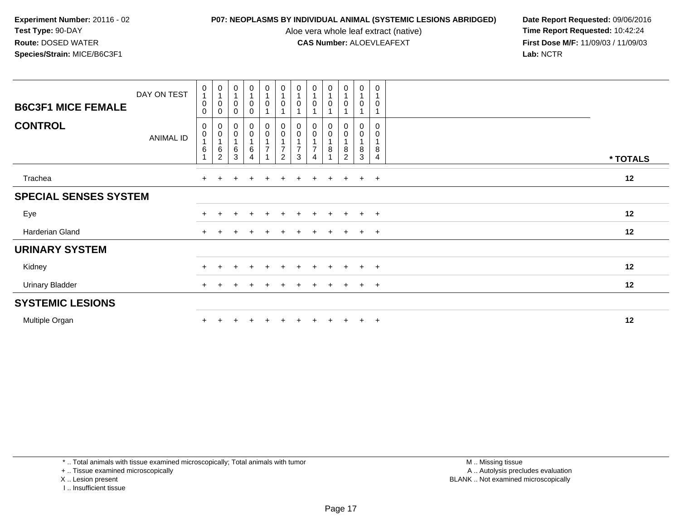Aloe vera whole leaf extract (native)<br>**CAS Number:** ALOEVLEAFEXT

**P07: NEOPLASMS BY INDIVIDUAL ANIMAL (SYSTEMIC LESIONS ABRIDGED)** Date Report Requested: 09/06/2016<br>Aloe vera whole leaf extract (native) **Time Report Requested:** 10:42:24 **First Dose M/F:** 11/09/03 / 11/09/03<br>Lab: NCTR **Lab:** NCTR

| <b>B6C3F1 MICE FEMALE</b>    | DAY ON TEST | 0<br>0<br>$\Omega$ | $\begin{smallmatrix}0\\1\end{smallmatrix}$<br>$\pmb{0}$<br>0              | $\begin{smallmatrix}0\\1\end{smallmatrix}$<br>$\pmb{0}$<br>0                | $\begin{smallmatrix}0\\1\end{smallmatrix}$<br>$\pmb{0}$<br>$\mathbf 0$ | $\begin{smallmatrix}0\\1\end{smallmatrix}$<br>$\boldsymbol{0}$<br>$\overline{ }$ | 0<br>0                   | $\begin{smallmatrix}0\\1\end{smallmatrix}$<br>0 | $\frac{0}{1}$<br>0  | $\frac{0}{1}$<br>$\mathbf 0$            | $\begin{smallmatrix}0\\1\end{smallmatrix}$<br>$\pmb{0}$ | $\pmb{0}$<br>$\overline{1}$<br>0       | $\pmb{0}$<br>$\mathbf{1}$<br>0                       |          |
|------------------------------|-------------|--------------------|---------------------------------------------------------------------------|-----------------------------------------------------------------------------|------------------------------------------------------------------------|----------------------------------------------------------------------------------|--------------------------|-------------------------------------------------|---------------------|-----------------------------------------|---------------------------------------------------------|----------------------------------------|------------------------------------------------------|----------|
| <b>CONTROL</b>               | ANIMAL ID   | 0<br>0<br>6        | 0<br>$\mathbf 0$<br>$\mathbf{1}$<br>$\begin{array}{c} 6 \\ 2 \end{array}$ | $\begin{smallmatrix}0\0\0\end{smallmatrix}$<br>1<br>$\,6\,$<br>$\mathbf{3}$ | $\begin{matrix} 0 \\ 0 \\ 1 \end{matrix}$<br>$\,6$<br>$\overline{4}$   | $\begin{matrix} 0 \\ 0 \\ 1 \end{matrix}$<br>$\overline{7}$                      | 0<br>$\pmb{0}$<br>7<br>2 | $\mathbf 0$<br>7<br>3                           | 0<br>$\pmb{0}$<br>⇁ | 0<br>$\mathbf 0$<br>$\overline{A}$<br>8 | 0<br>$\pmb{0}$<br>$\overline{1}$<br>8<br>$\overline{2}$ | 0<br>$\,0\,$<br>$\mathbf{1}$<br>8<br>3 | $\Omega$<br>0<br>$\mathbf{1}$<br>8<br>$\overline{4}$ | * TOTALS |
| Trachea                      |             | $+$                |                                                                           |                                                                             | $\div$                                                                 |                                                                                  |                          |                                                 | $\ddot{}$           | $\pm$                                   | $\pm$                                                   | $+$                                    | $+$                                                  | 12       |
| <b>SPECIAL SENSES SYSTEM</b> |             |                    |                                                                           |                                                                             |                                                                        |                                                                                  |                          |                                                 |                     |                                         |                                                         |                                        |                                                      |          |
| Eye                          |             |                    |                                                                           | ÷                                                                           | $\pm$                                                                  | $\pm$                                                                            | ÷                        | $+$                                             | $\pm$               | $+$                                     | $+$                                                     | $+$                                    | $+$                                                  | 12       |
| Harderian Gland              |             | $\ddot{}$          |                                                                           |                                                                             |                                                                        |                                                                                  |                          |                                                 |                     | ÷                                       |                                                         | $+$                                    | $\overline{+}$                                       | 12       |
| <b>URINARY SYSTEM</b>        |             |                    |                                                                           |                                                                             |                                                                        |                                                                                  |                          |                                                 |                     |                                         |                                                         |                                        |                                                      |          |
| Kidney                       |             | $\ddot{}$          | $\pm$                                                                     | $\div$                                                                      | $\ddot{}$                                                              | $+$                                                                              |                          |                                                 | $\ddot{}$           | $+$                                     | $+$                                                     | $+$                                    | $+$                                                  | 12       |
| <b>Urinary Bladder</b>       |             | $\ddot{}$          |                                                                           |                                                                             |                                                                        |                                                                                  |                          |                                                 | $\pm$               | $\pm$                                   |                                                         | $+$                                    | $+$                                                  | 12       |
| <b>SYSTEMIC LESIONS</b>      |             |                    |                                                                           |                                                                             |                                                                        |                                                                                  |                          |                                                 |                     |                                         |                                                         |                                        |                                                      |          |
| Multiple Organ               |             |                    |                                                                           |                                                                             |                                                                        |                                                                                  |                          |                                                 |                     |                                         |                                                         | $+$                                    | $\overline{+}$                                       | 12       |

\* .. Total animals with tissue examined microscopically; Total animals with tumor

+ .. Tissue examined microscopically

X .. Lesion present

I .. Insufficient tissue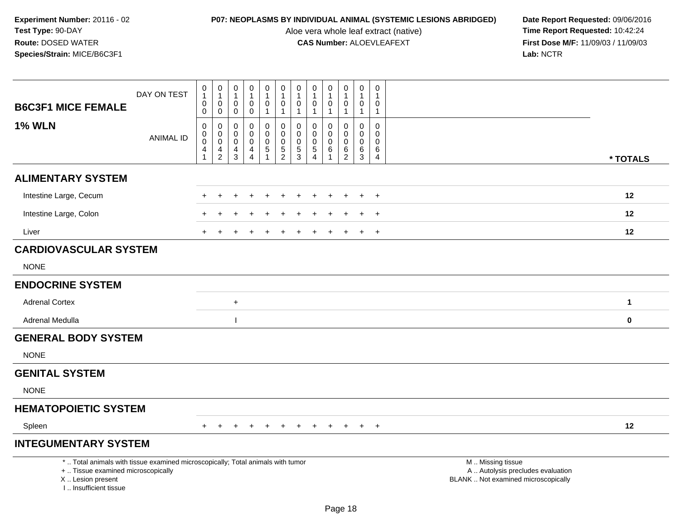Aloe vera whole leaf extract (native)<br>**CAS Number:** ALOEVLEAFEXT

|                                                                                                                                                                     | DAY ON TEST      | $\pmb{0}$<br>$\mathbf{1}$                            | $\boldsymbol{0}$<br>$\mathbf{1}$                                    | $\mathbf 0$<br>1                          | $\mathbf 0$<br>$\mathbf{1}$                                              | $\pmb{0}$<br>$\mathbf{1}$                  | $\mathbf 0$<br>$\mathbf{1}$<br>$\mathbf 0$                              | 0<br>0                                           | $\pmb{0}$<br>$\mathbf{1}$<br>0                         | $\mathbf 0$<br>$\mathbf{1}$<br>0      | $\pmb{0}$<br>$\mathbf{1}$                                      | $\pmb{0}$<br>$\mathbf{1}$                                      | 0<br>$\mathbf 1$                                    |                                                                                               |  |
|---------------------------------------------------------------------------------------------------------------------------------------------------------------------|------------------|------------------------------------------------------|---------------------------------------------------------------------|-------------------------------------------|--------------------------------------------------------------------------|--------------------------------------------|-------------------------------------------------------------------------|--------------------------------------------------|--------------------------------------------------------|---------------------------------------|----------------------------------------------------------------|----------------------------------------------------------------|-----------------------------------------------------|-----------------------------------------------------------------------------------------------|--|
| <b>B6C3F1 MICE FEMALE</b>                                                                                                                                           |                  | 0<br>0                                               | 0<br>$\mathbf 0$                                                    | 0<br>$\mathbf 0$                          | 0<br>$\mathbf 0$                                                         | 0<br>$\mathbf{1}$                          | $\mathbf{1}$                                                            | $\mathbf{1}$                                     | $\mathbf{1}$                                           | $\mathbf{1}$                          | 0<br>$\mathbf{1}$                                              | 0<br>$\mathbf{1}$                                              | 0<br>$\overline{1}$                                 |                                                                                               |  |
| <b>1% WLN</b>                                                                                                                                                       | <b>ANIMAL ID</b> | 0<br>$\mathbf 0$<br>$\pmb{0}$<br>4<br>$\overline{1}$ | $\mathbf 0$<br>$\pmb{0}$<br>$\boldsymbol{0}$<br>4<br>$\overline{c}$ | $\mathbf 0$<br>0<br>$\mathbf 0$<br>4<br>3 | $\mathbf 0$<br>$\mathbf 0$<br>$\mathbf 0$<br>4<br>$\boldsymbol{\Lambda}$ | 0<br>0<br>$\pmb{0}$<br>5<br>$\overline{1}$ | $\mathbf 0$<br>$\pmb{0}$<br>$\mathbf 0$<br>$\sqrt{5}$<br>$\overline{2}$ | $\Omega$<br>$\mathbf 0$<br>$\mathbf 0$<br>5<br>3 | $\mathbf 0$<br>$\mathbf 0$<br>0<br>5<br>$\overline{4}$ | $\mathbf{0}$<br>0<br>$\mathbf 0$<br>6 | 0<br>$\mathsf{O}\xspace$<br>$\mathbf 0$<br>6<br>$\overline{2}$ | $\mathbf 0$<br>$\mathbf 0$<br>$\mathbf 0$<br>6<br>$\mathbf{3}$ | $\mathbf 0$<br>0<br>$\Omega$<br>6<br>$\overline{4}$ |                                                                                               |  |
|                                                                                                                                                                     |                  |                                                      |                                                                     |                                           |                                                                          |                                            |                                                                         |                                                  |                                                        |                                       |                                                                |                                                                |                                                     | * TOTALS                                                                                      |  |
| <b>ALIMENTARY SYSTEM</b>                                                                                                                                            |                  |                                                      |                                                                     |                                           |                                                                          |                                            |                                                                         |                                                  |                                                        |                                       |                                                                |                                                                |                                                     |                                                                                               |  |
| Intestine Large, Cecum                                                                                                                                              |                  |                                                      |                                                                     |                                           |                                                                          |                                            |                                                                         |                                                  |                                                        |                                       |                                                                |                                                                | $+$                                                 | 12                                                                                            |  |
| Intestine Large, Colon                                                                                                                                              |                  |                                                      |                                                                     |                                           |                                                                          |                                            |                                                                         |                                                  |                                                        |                                       |                                                                |                                                                |                                                     | 12                                                                                            |  |
| Liver                                                                                                                                                               |                  |                                                      |                                                                     |                                           |                                                                          |                                            |                                                                         |                                                  |                                                        |                                       |                                                                | $\pm$                                                          | $+$                                                 | 12                                                                                            |  |
| <b>CARDIOVASCULAR SYSTEM</b>                                                                                                                                        |                  |                                                      |                                                                     |                                           |                                                                          |                                            |                                                                         |                                                  |                                                        |                                       |                                                                |                                                                |                                                     |                                                                                               |  |
| <b>NONE</b>                                                                                                                                                         |                  |                                                      |                                                                     |                                           |                                                                          |                                            |                                                                         |                                                  |                                                        |                                       |                                                                |                                                                |                                                     |                                                                                               |  |
| <b>ENDOCRINE SYSTEM</b>                                                                                                                                             |                  |                                                      |                                                                     |                                           |                                                                          |                                            |                                                                         |                                                  |                                                        |                                       |                                                                |                                                                |                                                     |                                                                                               |  |
| <b>Adrenal Cortex</b>                                                                                                                                               |                  |                                                      |                                                                     | $\pm$                                     |                                                                          |                                            |                                                                         |                                                  |                                                        |                                       |                                                                |                                                                |                                                     | 1                                                                                             |  |
| Adrenal Medulla                                                                                                                                                     |                  |                                                      |                                                                     | $\blacksquare$                            |                                                                          |                                            |                                                                         |                                                  |                                                        |                                       |                                                                |                                                                |                                                     | $\mathbf 0$                                                                                   |  |
| <b>GENERAL BODY SYSTEM</b>                                                                                                                                          |                  |                                                      |                                                                     |                                           |                                                                          |                                            |                                                                         |                                                  |                                                        |                                       |                                                                |                                                                |                                                     |                                                                                               |  |
| <b>NONE</b>                                                                                                                                                         |                  |                                                      |                                                                     |                                           |                                                                          |                                            |                                                                         |                                                  |                                                        |                                       |                                                                |                                                                |                                                     |                                                                                               |  |
| <b>GENITAL SYSTEM</b>                                                                                                                                               |                  |                                                      |                                                                     |                                           |                                                                          |                                            |                                                                         |                                                  |                                                        |                                       |                                                                |                                                                |                                                     |                                                                                               |  |
| <b>NONE</b>                                                                                                                                                         |                  |                                                      |                                                                     |                                           |                                                                          |                                            |                                                                         |                                                  |                                                        |                                       |                                                                |                                                                |                                                     |                                                                                               |  |
| <b>HEMATOPOIETIC SYSTEM</b>                                                                                                                                         |                  |                                                      |                                                                     |                                           |                                                                          |                                            |                                                                         |                                                  |                                                        |                                       |                                                                |                                                                |                                                     |                                                                                               |  |
| Spleen                                                                                                                                                              |                  | $+$                                                  | $+$                                                                 | $\pm$                                     | $+$                                                                      | $+$                                        | $+$                                                                     | $+$                                              | $+$                                                    | $+$                                   | $+$                                                            | $+$                                                            | $+$                                                 | 12                                                                                            |  |
| <b>INTEGUMENTARY SYSTEM</b>                                                                                                                                         |                  |                                                      |                                                                     |                                           |                                                                          |                                            |                                                                         |                                                  |                                                        |                                       |                                                                |                                                                |                                                     |                                                                                               |  |
| *  Total animals with tissue examined microscopically; Total animals with tumor<br>+  Tissue examined microscopically<br>X  Lesion present<br>I Insufficient tissue |                  |                                                      |                                                                     |                                           |                                                                          |                                            |                                                                         |                                                  |                                                        |                                       |                                                                |                                                                |                                                     | M  Missing tissue<br>A  Autolysis precludes evaluation<br>BLANK  Not examined microscopically |  |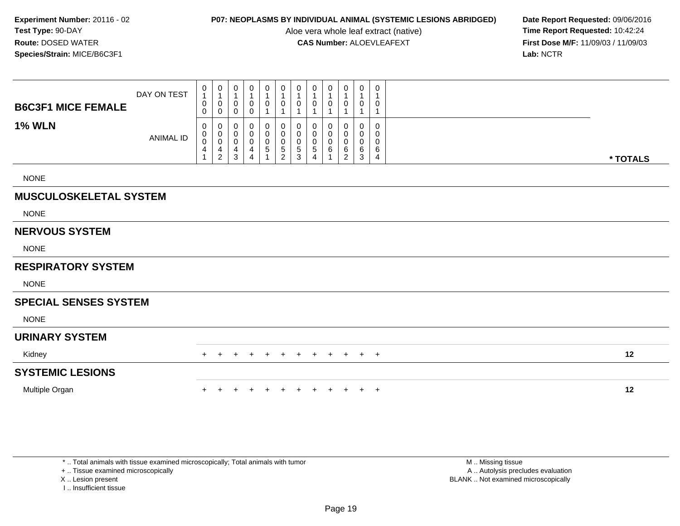Aloe vera whole leaf extract (native)<br>**CAS Number:** ALOEVLEAFEXT

**P07: NEOPLASMS BY INDIVIDUAL ANIMAL (SYSTEMIC LESIONS ABRIDGED)** Date Report Requested: 09/06/2016<br>Aloe vera whole leaf extract (native) **Time Report Requested:** 10:42:24 **First Dose M/F:** 11/09/03 / 11/09/03<br>Lab: NCTR **Lab:** NCTR

| <b>B6C3F1 MICE FEMALE</b>     | DAY ON TEST      | $\begin{smallmatrix}0\1\end{smallmatrix}$<br>$\pmb{0}$<br>0                     | $\pmb{0}$<br>$\mathbf{1}$<br>$\boldsymbol{0}$<br>0      | $\pmb{0}$<br>$\overline{1}$<br>0<br>0 | $\pmb{0}$<br>$\mathbf{1}$<br>0<br>0 | 0<br>$\boldsymbol{0}$                      | 0<br>$\mathbf{1}$<br>0             | $\boldsymbol{0}$<br>$\mathbf{1}$<br>0                     | 0<br>0                                      | 0<br>0           | 0<br>$\mathbf{1}$<br>0<br>1            | 0<br>$\mathbf{1}$<br>0<br>1     | 0<br>0                |          |
|-------------------------------|------------------|---------------------------------------------------------------------------------|---------------------------------------------------------|---------------------------------------|-------------------------------------|--------------------------------------------|------------------------------------|-----------------------------------------------------------|---------------------------------------------|------------------|----------------------------------------|---------------------------------|-----------------------|----------|
| <b>1% WLN</b>                 | <b>ANIMAL ID</b> | $\pmb{0}$<br>$\pmb{0}$<br>$\pmb{0}$<br>$\overline{\mathcal{A}}$<br>$\mathbf{1}$ | 0<br>$_{\rm 0}^{\rm 0}$<br>$\overline{4}$<br>$\sqrt{2}$ | 0<br>0<br>0<br>4<br>$\mathbf{3}$      | 0<br>0<br>0<br>4<br>$\overline{4}$  | 0<br>$\pmb{0}$<br>$\pmb{0}$<br>$\mathbf 5$ | 0<br>0<br>0<br>5<br>$\overline{2}$ | 0<br>$\pmb{0}$<br>$\pmb{0}$<br>$\,$ 5 $\,$<br>$\mathsf 3$ | 0<br>0<br>0<br>$\sqrt{5}$<br>$\overline{4}$ | 0<br>0<br>0<br>6 | 0<br>0<br>0<br>$\,6$<br>$\overline{2}$ | 0<br>0<br>$\mathbf 0$<br>6<br>3 | 0<br>0<br>0<br>6<br>4 | * TOTALS |
| <b>NONE</b>                   |                  |                                                                                 |                                                         |                                       |                                     |                                            |                                    |                                                           |                                             |                  |                                        |                                 |                       |          |
| <b>MUSCULOSKELETAL SYSTEM</b> |                  |                                                                                 |                                                         |                                       |                                     |                                            |                                    |                                                           |                                             |                  |                                        |                                 |                       |          |
| <b>NONE</b>                   |                  |                                                                                 |                                                         |                                       |                                     |                                            |                                    |                                                           |                                             |                  |                                        |                                 |                       |          |
| <b>NERVOUS SYSTEM</b>         |                  |                                                                                 |                                                         |                                       |                                     |                                            |                                    |                                                           |                                             |                  |                                        |                                 |                       |          |
| <b>NONE</b>                   |                  |                                                                                 |                                                         |                                       |                                     |                                            |                                    |                                                           |                                             |                  |                                        |                                 |                       |          |
| <b>RESPIRATORY SYSTEM</b>     |                  |                                                                                 |                                                         |                                       |                                     |                                            |                                    |                                                           |                                             |                  |                                        |                                 |                       |          |
| <b>NONE</b>                   |                  |                                                                                 |                                                         |                                       |                                     |                                            |                                    |                                                           |                                             |                  |                                        |                                 |                       |          |
| <b>SPECIAL SENSES SYSTEM</b>  |                  |                                                                                 |                                                         |                                       |                                     |                                            |                                    |                                                           |                                             |                  |                                        |                                 |                       |          |
| <b>NONE</b>                   |                  |                                                                                 |                                                         |                                       |                                     |                                            |                                    |                                                           |                                             |                  |                                        |                                 |                       |          |
| <b>URINARY SYSTEM</b>         |                  |                                                                                 |                                                         |                                       |                                     |                                            |                                    |                                                           |                                             |                  |                                        |                                 |                       |          |
| Kidney                        |                  |                                                                                 |                                                         |                                       |                                     |                                            |                                    |                                                           |                                             |                  | $\pm$                                  | $+$                             | $+$                   | 12       |
| <b>SYSTEMIC LESIONS</b>       |                  |                                                                                 |                                                         |                                       |                                     |                                            |                                    |                                                           |                                             |                  |                                        |                                 |                       |          |
| Multiple Organ                |                  |                                                                                 |                                                         |                                       |                                     |                                            |                                    |                                                           |                                             |                  |                                        | $\ddot{}$                       | $+$                   | 12       |

\* .. Total animals with tissue examined microscopically; Total animals with tumor

+ .. Tissue examined microscopically

X .. Lesion present

I .. Insufficient tissue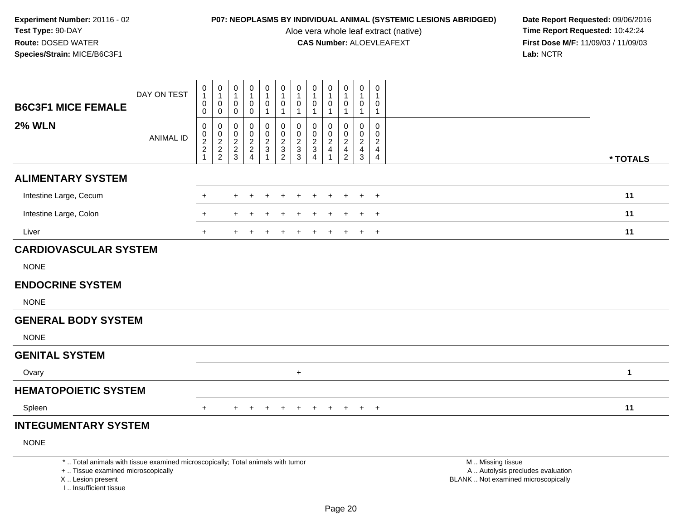I .. Insufficient tissue

Aloe vera whole leaf extract (native)<br>**CAS Number:** ALOEVLEAFEXT

| <b>B6C3F1 MICE FEMALE</b>    | DAY ON TEST                                                                                                           | $\begin{smallmatrix}0\\1\end{smallmatrix}$<br>$\,0\,$<br>$\pmb{0}$ | $\boldsymbol{0}$<br>$\mathbf{1}$<br>$\mathbf 0$<br>$\mathbf 0$ | 0<br>$\mathbf{1}$<br>0<br>0               | 0<br>$\overline{1}$<br>0<br>0                                       | $\pmb{0}$<br>$\mathbf{1}$<br>$\pmb{0}$<br>-1 | 0<br>$\mathbf{1}$<br>$\mathbf 0$<br>$\overline{1}$ | $\begin{smallmatrix}0\\1\end{smallmatrix}$<br>$\boldsymbol{0}$<br>$\overline{1}$ | 0<br>$\mathbf{1}$<br>0<br>$\mathbf{1}$                         | 0<br>$\mathbf 1$<br>$\mathbf 0$<br>-1                               | 0<br>$\mathbf{1}$<br>$\mathsf{O}\xspace$<br>1 | 0<br>$\overline{1}$<br>$\mathbf 0$<br>$\mathbf{1}$ | 0<br>$\mathbf{1}$<br>0<br>$\mathbf{1}$                 |                                                                                               |              |
|------------------------------|-----------------------------------------------------------------------------------------------------------------------|--------------------------------------------------------------------|----------------------------------------------------------------|-------------------------------------------|---------------------------------------------------------------------|----------------------------------------------|----------------------------------------------------|----------------------------------------------------------------------------------|----------------------------------------------------------------|---------------------------------------------------------------------|-----------------------------------------------|----------------------------------------------------|--------------------------------------------------------|-----------------------------------------------------------------------------------------------|--------------|
| <b>2% WLN</b>                | <b>ANIMAL ID</b>                                                                                                      | $\mathbf 0$<br>$\pmb{0}$<br>$\frac{2}{2}$<br>1                     | 0<br>$\mathbf 0$<br>$\frac{2}{2}$                              | 0<br>0<br>$\overline{c}$<br>$\frac{2}{3}$ | $\mathbf 0$<br>$\Omega$<br>$\overline{\mathbf{c}}$<br>$\frac{2}{4}$ | 0<br>$\mathbf 0$<br>$\frac{2}{3}$            | 0<br>$\mathbf 0$<br>$\frac{2}{3}$                  | 0<br>$\mathbf 0$<br>$\frac{2}{3}$                                                | $\mathbf 0$<br>$\mathbf{0}$<br>$\frac{2}{3}$<br>$\overline{4}$ | $\Omega$<br>$\Omega$<br>$\boldsymbol{2}$<br>$\overline{\mathbf{4}}$ | $\mathbf 0$<br>0<br>$\frac{2}{4}$             | 0<br>$\mathbf 0$<br>$\frac{2}{3}$                  | $\mathbf 0$<br>$\mathbf 0$<br>$\overline{c}$<br>4<br>4 |                                                                                               | * TOTALS     |
| <b>ALIMENTARY SYSTEM</b>     |                                                                                                                       |                                                                    |                                                                |                                           |                                                                     |                                              |                                                    |                                                                                  |                                                                |                                                                     |                                               |                                                    |                                                        |                                                                                               |              |
| Intestine Large, Cecum       |                                                                                                                       | $\ddot{}$                                                          |                                                                | $\ddot{}$                                 |                                                                     |                                              |                                                    |                                                                                  | $\ddot{}$                                                      |                                                                     |                                               | $+$                                                | $+$                                                    |                                                                                               | 11           |
| Intestine Large, Colon       |                                                                                                                       | $\ddot{}$                                                          |                                                                |                                           |                                                                     |                                              |                                                    |                                                                                  |                                                                |                                                                     |                                               |                                                    | $\ddot{}$                                              |                                                                                               | 11           |
| Liver                        |                                                                                                                       | $+$                                                                |                                                                |                                           |                                                                     |                                              |                                                    |                                                                                  |                                                                |                                                                     |                                               | $\pm$                                              | $+$                                                    |                                                                                               | 11           |
| <b>CARDIOVASCULAR SYSTEM</b> |                                                                                                                       |                                                                    |                                                                |                                           |                                                                     |                                              |                                                    |                                                                                  |                                                                |                                                                     |                                               |                                                    |                                                        |                                                                                               |              |
| <b>NONE</b>                  |                                                                                                                       |                                                                    |                                                                |                                           |                                                                     |                                              |                                                    |                                                                                  |                                                                |                                                                     |                                               |                                                    |                                                        |                                                                                               |              |
| <b>ENDOCRINE SYSTEM</b>      |                                                                                                                       |                                                                    |                                                                |                                           |                                                                     |                                              |                                                    |                                                                                  |                                                                |                                                                     |                                               |                                                    |                                                        |                                                                                               |              |
| <b>NONE</b>                  |                                                                                                                       |                                                                    |                                                                |                                           |                                                                     |                                              |                                                    |                                                                                  |                                                                |                                                                     |                                               |                                                    |                                                        |                                                                                               |              |
| <b>GENERAL BODY SYSTEM</b>   |                                                                                                                       |                                                                    |                                                                |                                           |                                                                     |                                              |                                                    |                                                                                  |                                                                |                                                                     |                                               |                                                    |                                                        |                                                                                               |              |
| <b>NONE</b>                  |                                                                                                                       |                                                                    |                                                                |                                           |                                                                     |                                              |                                                    |                                                                                  |                                                                |                                                                     |                                               |                                                    |                                                        |                                                                                               |              |
| <b>GENITAL SYSTEM</b>        |                                                                                                                       |                                                                    |                                                                |                                           |                                                                     |                                              |                                                    |                                                                                  |                                                                |                                                                     |                                               |                                                    |                                                        |                                                                                               |              |
| Ovary                        |                                                                                                                       |                                                                    |                                                                |                                           |                                                                     |                                              |                                                    | $\ddot{}$                                                                        |                                                                |                                                                     |                                               |                                                    |                                                        |                                                                                               | $\mathbf{1}$ |
| <b>HEMATOPOIETIC SYSTEM</b>  |                                                                                                                       |                                                                    |                                                                |                                           |                                                                     |                                              |                                                    |                                                                                  |                                                                |                                                                     |                                               |                                                    |                                                        |                                                                                               |              |
| Spleen                       |                                                                                                                       | $+$                                                                |                                                                | $+$                                       | $+$                                                                 | $+$                                          | $+$                                                | $+$                                                                              | $+$                                                            | $+$                                                                 | $+$                                           | $+$                                                | $+$                                                    |                                                                                               | 11           |
| <b>INTEGUMENTARY SYSTEM</b>  |                                                                                                                       |                                                                    |                                                                |                                           |                                                                     |                                              |                                                    |                                                                                  |                                                                |                                                                     |                                               |                                                    |                                                        |                                                                                               |              |
| <b>NONE</b>                  |                                                                                                                       |                                                                    |                                                                |                                           |                                                                     |                                              |                                                    |                                                                                  |                                                                |                                                                     |                                               |                                                    |                                                        |                                                                                               |              |
| X  Lesion present            | *  Total animals with tissue examined microscopically; Total animals with tumor<br>+  Tissue examined microscopically |                                                                    |                                                                |                                           |                                                                     |                                              |                                                    |                                                                                  |                                                                |                                                                     |                                               |                                                    |                                                        | M  Missing tissue<br>A  Autolysis precludes evaluation<br>BLANK  Not examined microscopically |              |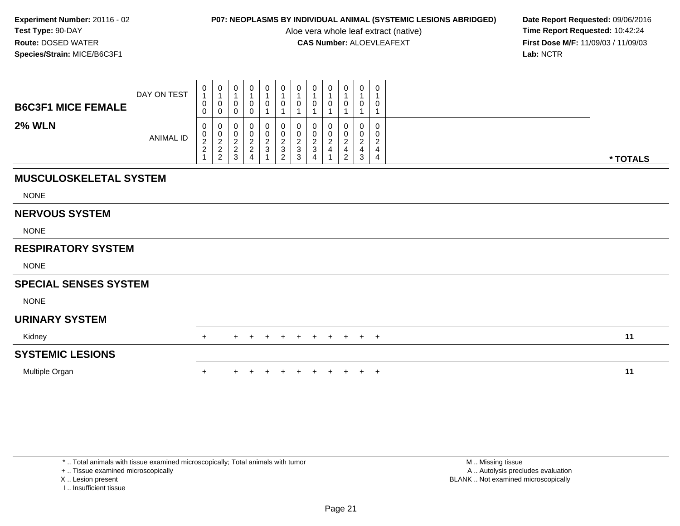Aloe vera whole leaf extract (native)<br>**CAS Number:** ALOEVLEAFEXT

**P07: NEOPLASMS BY INDIVIDUAL ANIMAL (SYSTEMIC LESIONS ABRIDGED)** Date Report Requested: 09/06/2016<br>Aloe vera whole leaf extract (native) **Time Report Requested:** 10:42:24 **First Dose M/F:** 11/09/03 / 11/09/03<br>Lab: NCTR **Lab:** NCTR

| <b>B6C3F1 MICE FEMALE</b>     | DAY ON TEST      | $\begin{smallmatrix}0\1\end{smallmatrix}$<br>0<br>0 | $\begin{smallmatrix}0\\1\end{smallmatrix}$<br>$\pmb{0}$<br>$\mathbf 0$ | 0<br>0<br>0                          | 0<br>$\mathbf{1}$<br>0<br>0                                            | $\mathbf 0$<br>$\mathbf{1}$<br>0 | $\begin{smallmatrix}0\1\end{smallmatrix}$<br>$\boldsymbol{0}$<br>$\overline{ }$ | $\pmb{0}$<br>$\overline{1}$<br>0                                     | $\mathbf 0$<br>$\overline{1}$<br>0                                     | 0<br>$\mathbf 1$<br>0                  | 0<br>$\mathbf{1}$<br>$\pmb{0}$<br>1             | $\mathbf 0$<br>$\mathbf 1$<br>0<br>1         | 0<br>0                                      |          |
|-------------------------------|------------------|-----------------------------------------------------|------------------------------------------------------------------------|--------------------------------------|------------------------------------------------------------------------|----------------------------------|---------------------------------------------------------------------------------|----------------------------------------------------------------------|------------------------------------------------------------------------|----------------------------------------|-------------------------------------------------|----------------------------------------------|---------------------------------------------|----------|
| <b>2% WLN</b>                 | <b>ANIMAL ID</b> | 0<br>$\begin{array}{c} 0 \\ 2 \\ 2 \end{array}$     | 0<br>$\frac{0}{2}$<br>$\sqrt{2}$                                       | 0<br>$\pmb{0}$<br>$\frac{2}{2}$<br>3 | 0<br>$\begin{smallmatrix} 0\\2\\2 \end{smallmatrix}$<br>$\overline{4}$ | 0<br>$\frac{0}{2}$<br>3          | 0<br>$\frac{0}{2}$<br>$\overline{2}$                                            | 0<br>$\begin{smallmatrix} 0\\2\\3 \end{smallmatrix}$<br>$\mathbf{3}$ | 0<br>$\begin{smallmatrix} 0\\2\\3 \end{smallmatrix}$<br>$\overline{4}$ | 0<br>0<br>$\sqrt{2}$<br>$\overline{4}$ | 0<br>$\,0\,$<br>$\frac{2}{4}$<br>$\overline{2}$ | 0<br>$\mathbf 0$<br>$\overline{c}$<br>4<br>3 | 0<br>0<br>$\overline{\mathbf{c}}$<br>4<br>4 | * TOTALS |
| <b>MUSCULOSKELETAL SYSTEM</b> |                  |                                                     |                                                                        |                                      |                                                                        |                                  |                                                                                 |                                                                      |                                                                        |                                        |                                                 |                                              |                                             |          |
| <b>NONE</b>                   |                  |                                                     |                                                                        |                                      |                                                                        |                                  |                                                                                 |                                                                      |                                                                        |                                        |                                                 |                                              |                                             |          |
| <b>NERVOUS SYSTEM</b>         |                  |                                                     |                                                                        |                                      |                                                                        |                                  |                                                                                 |                                                                      |                                                                        |                                        |                                                 |                                              |                                             |          |
| <b>NONE</b>                   |                  |                                                     |                                                                        |                                      |                                                                        |                                  |                                                                                 |                                                                      |                                                                        |                                        |                                                 |                                              |                                             |          |
| <b>RESPIRATORY SYSTEM</b>     |                  |                                                     |                                                                        |                                      |                                                                        |                                  |                                                                                 |                                                                      |                                                                        |                                        |                                                 |                                              |                                             |          |
| <b>NONE</b>                   |                  |                                                     |                                                                        |                                      |                                                                        |                                  |                                                                                 |                                                                      |                                                                        |                                        |                                                 |                                              |                                             |          |
| <b>SPECIAL SENSES SYSTEM</b>  |                  |                                                     |                                                                        |                                      |                                                                        |                                  |                                                                                 |                                                                      |                                                                        |                                        |                                                 |                                              |                                             |          |
| <b>NONE</b>                   |                  |                                                     |                                                                        |                                      |                                                                        |                                  |                                                                                 |                                                                      |                                                                        |                                        |                                                 |                                              |                                             |          |
| <b>URINARY SYSTEM</b>         |                  |                                                     |                                                                        |                                      |                                                                        |                                  |                                                                                 |                                                                      |                                                                        |                                        |                                                 |                                              |                                             |          |
| Kidney                        |                  | $+$                                                 |                                                                        | $+$                                  | $+$                                                                    | $+$                              | $+$                                                                             | $+$                                                                  |                                                                        | $+$ $+$ $+$                            |                                                 | $+$                                          | $+$                                         | 11       |
| <b>SYSTEMIC LESIONS</b>       |                  |                                                     |                                                                        |                                      |                                                                        |                                  |                                                                                 |                                                                      |                                                                        |                                        |                                                 |                                              |                                             |          |
| Multiple Organ                |                  | $\ddot{}$                                           |                                                                        |                                      |                                                                        |                                  |                                                                                 |                                                                      |                                                                        |                                        | $+$                                             | $+$                                          | $^{+}$                                      | 11       |

+ .. Tissue examined microscopically

X .. Lesion present

I .. Insufficient tissue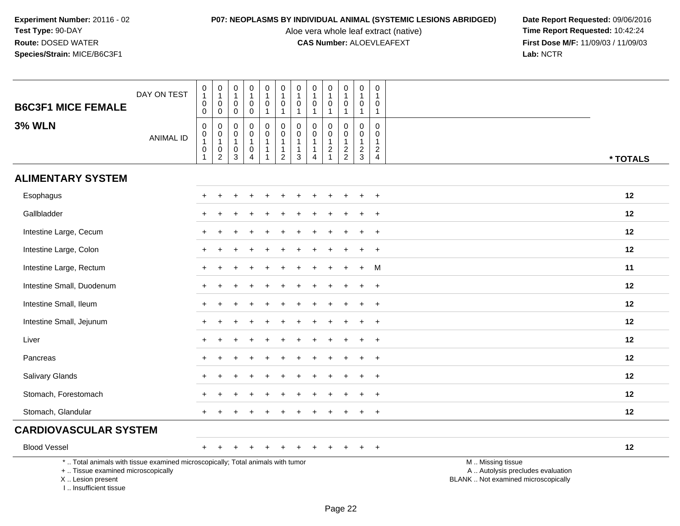Aloe vera whole leaf extract (native)<br>**CAS Number:** ALOEVLEAFEXT

| <b>B6C3F1 MICE FEMALE</b>                                                                                                                                           | DAY ON TEST      | $\mathbf 0$<br>1<br>$\mathsf 0$<br>$\mathbf 0$                         | $\pmb{0}$<br>$\mathbf{1}$<br>$\pmb{0}$<br>$\mathbf 0$                                    | $\boldsymbol{0}$<br>$\overline{1}$<br>$\mathbf 0$<br>$\mathbf 0$    | $\pmb{0}$<br>$\mathbf{1}$<br>$\mathbf 0$<br>$\mathbf 0$                     | $\pmb{0}$<br>$\mathbf{1}$<br>$\pmb{0}$<br>$\mathbf{1}$ | $\pmb{0}$<br>$\mathbf{1}$<br>$\mathbf 0$<br>$\mathbf{1}$                   | $\mathbf 0$<br>$\mathbf{1}$<br>$\mathbf 0$<br>$\mathbf{1}$      | $\pmb{0}$<br>$\overline{1}$<br>0<br>$\mathbf{1}$                          | $\pmb{0}$<br>$\mathbf{1}$<br>$\mathbf 0$<br>$\overline{1}$ | 0<br>$\mathbf{1}$<br>$\mathsf 0$<br>$\mathbf{1}$              | $\mathbf 0$<br>$\overline{1}$<br>$\mathbf 0$<br>$\overline{1}$ | $\pmb{0}$<br>$\mathbf 1$<br>0<br>$\mathbf{1}$                        |                                                                                               |
|---------------------------------------------------------------------------------------------------------------------------------------------------------------------|------------------|------------------------------------------------------------------------|------------------------------------------------------------------------------------------|---------------------------------------------------------------------|-----------------------------------------------------------------------------|--------------------------------------------------------|----------------------------------------------------------------------------|-----------------------------------------------------------------|---------------------------------------------------------------------------|------------------------------------------------------------|---------------------------------------------------------------|----------------------------------------------------------------|----------------------------------------------------------------------|-----------------------------------------------------------------------------------------------|
| <b>3% WLN</b>                                                                                                                                                       | <b>ANIMAL ID</b> | 0<br>$\boldsymbol{0}$<br>$\mathbf{1}$<br>$\mathbf 0$<br>$\overline{1}$ | $\mathbf 0$<br>$\begin{smallmatrix}0\\1\end{smallmatrix}$<br>$\pmb{0}$<br>$\overline{c}$ | $\mathbf 0$<br>$\boldsymbol{0}$<br>$\mathbf{1}$<br>$\mathsf 0$<br>3 | $\mathbf 0$<br>$\mathbf 0$<br>$\mathbf{1}$<br>$\mathbf 0$<br>$\overline{4}$ | 0<br>$\pmb{0}$<br>$\mathbf{1}$<br>$\mathbf{1}$<br>1    | $\pmb{0}$<br>$\mathbf 0$<br>$\mathbf{1}$<br>$\mathbf{1}$<br>$\overline{2}$ | $\mathbf 0$<br>$\mathbf 0$<br>$\mathbf{1}$<br>$\mathbf{1}$<br>3 | $\Omega$<br>$\mathbf 0$<br>$\mathbf{1}$<br>$\mathbf{1}$<br>$\overline{4}$ | $\mathbf 0$<br>$\mathbf 0$<br>$\mathbf{1}$<br>$\sqrt{2}$   | $\mathbf 0$<br>$\mathbf 0$<br>$\overline{1}$<br>$\frac{2}{2}$ | $\mathbf 0$<br>$\mathbf 0$<br>$\overline{1}$<br>$\frac{2}{3}$  | $\mathbf 0$<br>0<br>$\mathbf{1}$<br>$\overline{c}$<br>$\overline{4}$ | * TOTALS                                                                                      |
| <b>ALIMENTARY SYSTEM</b>                                                                                                                                            |                  |                                                                        |                                                                                          |                                                                     |                                                                             |                                                        |                                                                            |                                                                 |                                                                           |                                                            |                                                               |                                                                |                                                                      |                                                                                               |
| Esophagus                                                                                                                                                           |                  | $+$                                                                    | $\ddot{}$                                                                                |                                                                     |                                                                             |                                                        |                                                                            |                                                                 |                                                                           |                                                            | ÷                                                             | $\div$                                                         | $\ddot{}$                                                            | 12                                                                                            |
| Gallbladder                                                                                                                                                         |                  |                                                                        |                                                                                          |                                                                     |                                                                             |                                                        |                                                                            |                                                                 |                                                                           |                                                            |                                                               |                                                                |                                                                      | 12                                                                                            |
| Intestine Large, Cecum                                                                                                                                              |                  |                                                                        |                                                                                          |                                                                     |                                                                             |                                                        |                                                                            |                                                                 |                                                                           |                                                            |                                                               |                                                                | $\ddot{}$                                                            | 12                                                                                            |
| Intestine Large, Colon                                                                                                                                              |                  | $+$                                                                    |                                                                                          |                                                                     |                                                                             |                                                        |                                                                            |                                                                 |                                                                           |                                                            |                                                               |                                                                | $\ddot{}$                                                            | 12                                                                                            |
| Intestine Large, Rectum                                                                                                                                             |                  |                                                                        |                                                                                          |                                                                     |                                                                             |                                                        |                                                                            |                                                                 |                                                                           |                                                            |                                                               |                                                                | M                                                                    | 11                                                                                            |
| Intestine Small, Duodenum                                                                                                                                           |                  |                                                                        |                                                                                          |                                                                     |                                                                             |                                                        |                                                                            |                                                                 |                                                                           |                                                            |                                                               |                                                                | $\ddot{}$                                                            | 12                                                                                            |
| Intestine Small, Ileum                                                                                                                                              |                  |                                                                        |                                                                                          |                                                                     |                                                                             |                                                        |                                                                            |                                                                 |                                                                           |                                                            |                                                               |                                                                | $\ddot{}$                                                            | 12                                                                                            |
| Intestine Small, Jejunum                                                                                                                                            |                  |                                                                        |                                                                                          |                                                                     |                                                                             |                                                        |                                                                            |                                                                 |                                                                           |                                                            |                                                               |                                                                | $\pm$                                                                | 12                                                                                            |
| Liver                                                                                                                                                               |                  |                                                                        |                                                                                          |                                                                     |                                                                             |                                                        |                                                                            |                                                                 |                                                                           |                                                            |                                                               |                                                                | $\ddot{}$                                                            | 12                                                                                            |
| Pancreas                                                                                                                                                            |                  |                                                                        |                                                                                          |                                                                     |                                                                             |                                                        |                                                                            |                                                                 |                                                                           |                                                            |                                                               |                                                                | $\ddot{}$                                                            | 12                                                                                            |
| <b>Salivary Glands</b>                                                                                                                                              |                  |                                                                        |                                                                                          |                                                                     |                                                                             |                                                        |                                                                            |                                                                 |                                                                           |                                                            |                                                               |                                                                | $\ddot{}$                                                            | 12                                                                                            |
| Stomach, Forestomach                                                                                                                                                |                  |                                                                        |                                                                                          |                                                                     |                                                                             |                                                        |                                                                            |                                                                 |                                                                           |                                                            |                                                               |                                                                | $\ddot{}$                                                            | 12                                                                                            |
| Stomach, Glandular                                                                                                                                                  |                  |                                                                        |                                                                                          |                                                                     |                                                                             |                                                        |                                                                            |                                                                 |                                                                           |                                                            |                                                               |                                                                | $\ddot{}$                                                            | 12                                                                                            |
| <b>CARDIOVASCULAR SYSTEM</b>                                                                                                                                        |                  |                                                                        |                                                                                          |                                                                     |                                                                             |                                                        |                                                                            |                                                                 |                                                                           |                                                            |                                                               |                                                                |                                                                      |                                                                                               |
| <b>Blood Vessel</b>                                                                                                                                                 |                  | $+$                                                                    |                                                                                          |                                                                     |                                                                             |                                                        |                                                                            |                                                                 |                                                                           |                                                            |                                                               |                                                                | $\overline{ }$                                                       | 12                                                                                            |
| *  Total animals with tissue examined microscopically; Total animals with tumor<br>+  Tissue examined microscopically<br>X  Lesion present<br>I Insufficient tissue |                  |                                                                        |                                                                                          |                                                                     |                                                                             |                                                        |                                                                            |                                                                 |                                                                           |                                                            |                                                               |                                                                |                                                                      | M  Missing tissue<br>A  Autolysis precludes evaluation<br>BLANK  Not examined microscopically |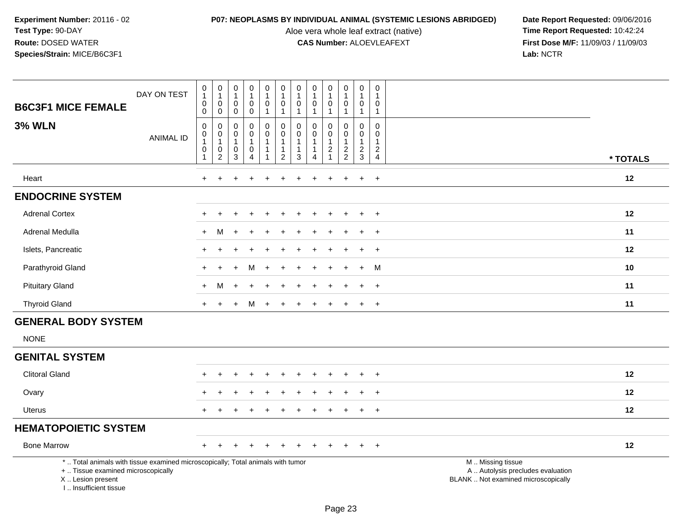Aloe vera whole leaf extract (native)<br>**CAS Number:** ALOEVLEAFEXT

| <b>B6C3F1 MICE FEMALE</b>                                                                                                                                           | DAY ON TEST      | $\mathbf 0$<br>$\mathbf{1}$<br>$\mathbf 0$    | $\pmb{0}$<br>$\mathbf{1}$<br>$\overline{0}$ | 0<br>$\mathbf{1}$<br>$\mathbf 0$ | $\boldsymbol{0}$<br>$\mathbf{1}$<br>$\mathbf 0$ | $\pmb{0}$<br>$\mathbf{1}$<br>$\mathbf 0$ | 0<br>$\mathbf{1}$<br>$\mathbf 0$                 | 0<br>$\overline{1}$<br>$\mathbf 0$    | 0<br>$\overline{1}$<br>$\mathbf 0$      | 0<br>$\mathbf{1}$<br>$\mathbf 0$               | $\mathsf 0$<br>$\mathbf{1}$<br>$\mathbf 0$           | $\pmb{0}$<br>$\mathbf{1}$<br>$\mathbf 0$ | 0<br>$\mathbf{1}$<br>$\mathbf 0$                   |                                                                                               |
|---------------------------------------------------------------------------------------------------------------------------------------------------------------------|------------------|-----------------------------------------------|---------------------------------------------|----------------------------------|-------------------------------------------------|------------------------------------------|--------------------------------------------------|---------------------------------------|-----------------------------------------|------------------------------------------------|------------------------------------------------------|------------------------------------------|----------------------------------------------------|-----------------------------------------------------------------------------------------------|
| <b>3% WLN</b>                                                                                                                                                       | <b>ANIMAL ID</b> | $\mathbf 0$<br>$\mathbf 0$<br>$\pmb{0}$       | $\mathbf 0$<br>$\mathbf 0$<br>$\pmb{0}$     | 0<br>$\mathbf 0$<br>$\pmb{0}$    | $\mathbf 0$<br>0<br>$\mathsf{O}$                | $\mathbf{1}$<br>0<br>$\ddot{\mathbf{0}}$ | $\mathbf{1}$<br>$\mathbf 0$<br>$\pmb{0}$         | $\mathbf 1$<br>$\Omega$<br>0          | $\mathbf{1}$<br>$\Omega$<br>$\mathbf 0$ | 1<br>0<br>$\mathbf 0$                          | $\overline{1}$<br>$\mathbf 0$<br>$\mathsf{O}\xspace$ | $\mathbf{1}$<br>$\mathbf 0$<br>$\pmb{0}$ | $\mathbf{1}$<br>$\mathbf 0$<br>$\mathbf 0$         |                                                                                               |
|                                                                                                                                                                     |                  | $\mathbf{1}$<br>$\mathbf 0$<br>$\overline{1}$ | $\mathbf{1}$<br>$\mathbf 0$<br>$\sqrt{2}$   | $\mathbf{1}$<br>0<br>$\mathsf 3$ | $\mathbf{1}$<br>0<br>$\overline{4}$             | $\mathbf{1}$<br>$\mathbf{1}$<br>-1       | $\overline{1}$<br>$\mathbf{1}$<br>$\overline{2}$ | $\overline{1}$<br>$\overline{1}$<br>3 | $\overline{1}$<br>$\mathbf{1}$<br>4     | $\mathbf{1}$<br>$\overline{2}$<br>$\mathbf{1}$ | $\mathbf{1}$<br>$\frac{2}{2}$                        | $\mathbf{1}$<br>$\overline{c}$<br>3      | $\overline{1}$<br>$\overline{c}$<br>$\overline{4}$ | * TOTALS                                                                                      |
| Heart                                                                                                                                                               |                  | $\ddot{}$                                     | $\ddot{}$                                   |                                  | $\ddot{}$                                       | $\ddot{}$                                | $\ddot{}$                                        | +                                     | $\ddot{}$                               | $\ddot{}$                                      | $\ddot{}$                                            | $+$                                      | $+$                                                | 12                                                                                            |
| <b>ENDOCRINE SYSTEM</b>                                                                                                                                             |                  |                                               |                                             |                                  |                                                 |                                          |                                                  |                                       |                                         |                                                |                                                      |                                          |                                                    |                                                                                               |
| <b>Adrenal Cortex</b>                                                                                                                                               |                  |                                               |                                             |                                  |                                                 |                                          |                                                  |                                       |                                         |                                                |                                                      |                                          | $\ddot{}$                                          | 12                                                                                            |
| Adrenal Medulla                                                                                                                                                     |                  | ÷                                             | м                                           |                                  |                                                 |                                          |                                                  |                                       |                                         |                                                |                                                      |                                          | $\ddot{}$                                          | 11                                                                                            |
| Islets, Pancreatic                                                                                                                                                  |                  |                                               |                                             |                                  |                                                 |                                          |                                                  |                                       |                                         |                                                |                                                      | $\div$                                   | $\ddot{}$                                          | 12                                                                                            |
| Parathyroid Gland                                                                                                                                                   |                  |                                               |                                             |                                  |                                                 |                                          |                                                  |                                       |                                         |                                                |                                                      | $\ddot{}$                                | M                                                  | 10                                                                                            |
| <b>Pituitary Gland</b>                                                                                                                                              |                  | $\ddot{}$                                     | M                                           |                                  |                                                 |                                          |                                                  |                                       |                                         |                                                |                                                      |                                          | $\ddot{}$                                          | 11                                                                                            |
| <b>Thyroid Gland</b>                                                                                                                                                |                  | $\ddot{}$                                     | $\ddot{}$                                   | $\ddot{}$                        | м                                               | $\ddot{}$                                | <b>+</b>                                         |                                       |                                         |                                                |                                                      | $\ddot{}$                                | $+$                                                | 11                                                                                            |
| <b>GENERAL BODY SYSTEM</b>                                                                                                                                          |                  |                                               |                                             |                                  |                                                 |                                          |                                                  |                                       |                                         |                                                |                                                      |                                          |                                                    |                                                                                               |
| <b>NONE</b>                                                                                                                                                         |                  |                                               |                                             |                                  |                                                 |                                          |                                                  |                                       |                                         |                                                |                                                      |                                          |                                                    |                                                                                               |
| <b>GENITAL SYSTEM</b>                                                                                                                                               |                  |                                               |                                             |                                  |                                                 |                                          |                                                  |                                       |                                         |                                                |                                                      |                                          |                                                    |                                                                                               |
| <b>Clitoral Gland</b>                                                                                                                                               |                  |                                               |                                             |                                  |                                                 |                                          |                                                  |                                       |                                         |                                                |                                                      |                                          |                                                    | 12                                                                                            |
| Ovary                                                                                                                                                               |                  |                                               |                                             |                                  |                                                 |                                          |                                                  |                                       |                                         |                                                |                                                      |                                          | $\ddot{}$                                          | 12                                                                                            |
| <b>Uterus</b>                                                                                                                                                       |                  | $+$                                           |                                             |                                  |                                                 |                                          |                                                  |                                       |                                         |                                                |                                                      | $+$                                      | $\ddot{}$                                          | 12                                                                                            |
| <b>HEMATOPOIETIC SYSTEM</b>                                                                                                                                         |                  |                                               |                                             |                                  |                                                 |                                          |                                                  |                                       |                                         |                                                |                                                      |                                          |                                                    |                                                                                               |
| <b>Bone Marrow</b>                                                                                                                                                  |                  |                                               |                                             |                                  |                                                 |                                          |                                                  |                                       |                                         |                                                |                                                      | $\ddot{}$                                | $\ddot{}$                                          | 12                                                                                            |
| *  Total animals with tissue examined microscopically; Total animals with tumor<br>+  Tissue examined microscopically<br>X  Lesion present<br>I Insufficient tissue |                  |                                               |                                             |                                  |                                                 |                                          |                                                  |                                       |                                         |                                                |                                                      |                                          |                                                    | M  Missing tissue<br>A  Autolysis precludes evaluation<br>BLANK  Not examined microscopically |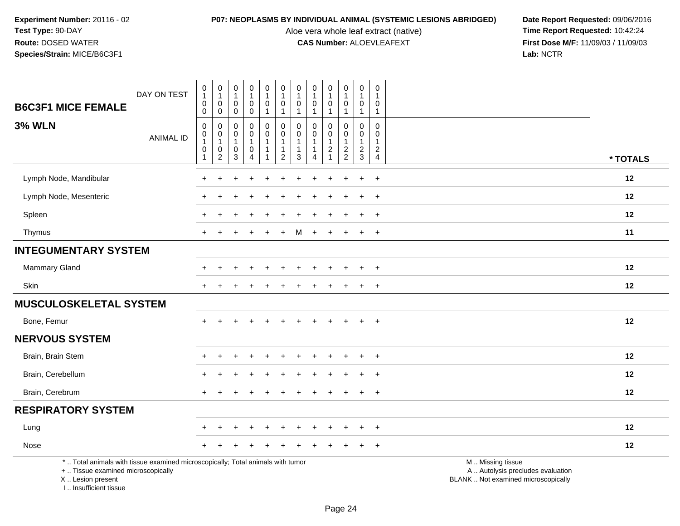Aloe vera whole leaf extract (native)<br>**CAS Number:** ALOEVLEAFEXT

**P07: NEOPLASMS BY INDIVIDUAL ANIMAL (SYSTEMIC LESIONS ABRIDGED)** Date Report Requested: 09/06/2016<br>Aloe vera whole leaf extract (native) **Time Report Requested:** 10:42:24 **First Dose M/F:** 11/09/03 / 11/09/03<br>Lab: NCTR **Lab:** NCTR

| DAY ON TEST<br><b>B6C3F1 MICE FEMALE</b>                                                                                                   |                  | $\begin{smallmatrix}0\\1\end{smallmatrix}$<br>$\pmb{0}$                  | $\pmb{0}$<br>$\mathbf{1}$<br>$\mathbf 0$                   | $\begin{smallmatrix}0\\1\end{smallmatrix}$<br>$\mathbf 0$      | $\begin{smallmatrix}0\\1\end{smallmatrix}$<br>0                    | 0<br>$\mathbf{1}$<br>0            | $\pmb{0}$<br>$\overline{1}$<br>$\pmb{0}$                                   | $\pmb{0}$<br>$\overline{1}$<br>$\mathbf 0$                                   | $\pmb{0}$<br>$\mathbf{1}$<br>$\mathbf 0$                                     | 0<br>$\mathbf{1}$<br>$\mathbf 0$                   | $\mathsf 0$<br>$\mathbf{1}$<br>$\mathbf 0$                 | $\mathsf 0$<br>$\mathbf{1}$<br>$\pmb{0}$      | $\mathbf 0$<br>$\overline{1}$<br>0                             |                                                                                               |
|--------------------------------------------------------------------------------------------------------------------------------------------|------------------|--------------------------------------------------------------------------|------------------------------------------------------------|----------------------------------------------------------------|--------------------------------------------------------------------|-----------------------------------|----------------------------------------------------------------------------|------------------------------------------------------------------------------|------------------------------------------------------------------------------|----------------------------------------------------|------------------------------------------------------------|-----------------------------------------------|----------------------------------------------------------------|-----------------------------------------------------------------------------------------------|
| <b>3% WLN</b>                                                                                                                              | <b>ANIMAL ID</b> | $\mathbf 0$<br>$\mathbf 0$<br>$\mathbf 0$<br>$\mathbf{1}$<br>$\mathsf 0$ | $\pmb{0}$<br>$\mathbf 0$<br>$\pmb{0}$<br>$\mathbf{1}$<br>0 | $\mathbf 0$<br>$\mathbf 0$<br>$\mathbf 0$<br>$\mathbf{1}$<br>0 | $\pmb{0}$<br>$\pmb{0}$<br>$\mathsf 0$<br>$\mathbf{1}$<br>$\pmb{0}$ | $\mathbf{1}$<br>0<br>$\mathsf{O}$ | $\mathbf{1}$<br>$\mathbf 0$<br>$\mathbf 0$<br>$\mathbf{1}$<br>$\mathbf{1}$ | $\mathbf{1}$<br>$\mathbf 0$<br>$\mathbf 0$<br>$\overline{1}$<br>$\mathbf{1}$ | $\mathbf{1}$<br>$\mathbf 0$<br>$\mathbf 0$<br>$\overline{1}$<br>$\mathbf{1}$ | $\mathbf{1}$<br>0<br>$\mathbf 0$<br>$\overline{2}$ | $\mathbf{1}$<br>$\mathbf 0$<br>$\mathbf 0$<br>$\mathbf{1}$ | $\mathbf{1}$<br>$\Omega$<br>0<br>$\mathbf{1}$ | $\overline{1}$<br>$\mathbf 0$<br>$\mathbf 0$<br>$\overline{1}$ |                                                                                               |
|                                                                                                                                            |                  | $\overline{1}$                                                           | $\overline{c}$                                             | $\mathbf{3}$                                                   | $\boldsymbol{\Lambda}$                                             |                                   | $\overline{2}$                                                             | 3                                                                            | $\overline{4}$                                                               | $\overline{1}$                                     | $\frac{2}{2}$                                              | $\frac{2}{3}$                                 | $\frac{2}{4}$                                                  | * TOTALS                                                                                      |
| Lymph Node, Mandibular                                                                                                                     |                  | $\ddot{}$                                                                | ÷                                                          |                                                                |                                                                    | ٠                                 |                                                                            |                                                                              |                                                                              |                                                    | $\ddot{}$                                                  | $\ddot{}$                                     | $\ddot{}$                                                      | 12                                                                                            |
| Lymph Node, Mesenteric                                                                                                                     |                  |                                                                          |                                                            |                                                                |                                                                    |                                   |                                                                            |                                                                              |                                                                              |                                                    |                                                            |                                               | $\ddot{}$                                                      | 12                                                                                            |
| Spleen                                                                                                                                     |                  |                                                                          |                                                            |                                                                |                                                                    |                                   |                                                                            |                                                                              |                                                                              |                                                    |                                                            |                                               | $\div$                                                         | 12                                                                                            |
| Thymus                                                                                                                                     |                  | $+$                                                                      |                                                            |                                                                | $\div$                                                             | $\ddot{}$                         | $\ddot{}$                                                                  | M                                                                            | $\pm$                                                                        | $\ddot{}$                                          | $\ddot{}$                                                  | $\ddot{}$                                     | $+$                                                            | 11                                                                                            |
| <b>INTEGUMENTARY SYSTEM</b>                                                                                                                |                  |                                                                          |                                                            |                                                                |                                                                    |                                   |                                                                            |                                                                              |                                                                              |                                                    |                                                            |                                               |                                                                |                                                                                               |
| Mammary Gland                                                                                                                              |                  |                                                                          |                                                            |                                                                |                                                                    |                                   |                                                                            |                                                                              |                                                                              |                                                    |                                                            | $\div$                                        | $\ddot{}$                                                      | 12                                                                                            |
| Skin                                                                                                                                       |                  |                                                                          |                                                            |                                                                |                                                                    |                                   |                                                                            |                                                                              |                                                                              |                                                    |                                                            | $\ddot{}$                                     | $\ddot{}$                                                      | 12                                                                                            |
| <b>MUSCULOSKELETAL SYSTEM</b>                                                                                                              |                  |                                                                          |                                                            |                                                                |                                                                    |                                   |                                                                            |                                                                              |                                                                              |                                                    |                                                            |                                               |                                                                |                                                                                               |
| Bone, Femur                                                                                                                                |                  | $+$                                                                      | $\ddot{}$                                                  |                                                                | $\ddot{}$                                                          | $\ddot{}$                         | $\ddot{}$                                                                  | $\ddot{}$                                                                    |                                                                              | $\ddot{}$                                          | $+$                                                        | $+$                                           | $+$                                                            | 12                                                                                            |
| <b>NERVOUS SYSTEM</b>                                                                                                                      |                  |                                                                          |                                                            |                                                                |                                                                    |                                   |                                                                            |                                                                              |                                                                              |                                                    |                                                            |                                               |                                                                |                                                                                               |
| Brain, Brain Stem                                                                                                                          |                  |                                                                          |                                                            |                                                                |                                                                    |                                   |                                                                            |                                                                              |                                                                              |                                                    |                                                            |                                               | $\ddot{}$                                                      | 12                                                                                            |
| Brain, Cerebellum                                                                                                                          |                  |                                                                          |                                                            |                                                                |                                                                    |                                   |                                                                            |                                                                              |                                                                              |                                                    |                                                            | $\ddot{}$                                     | $\ddot{}$                                                      | 12                                                                                            |
| Brain, Cerebrum                                                                                                                            |                  |                                                                          |                                                            |                                                                |                                                                    |                                   |                                                                            |                                                                              |                                                                              |                                                    |                                                            | ÷                                             | $\div$                                                         | 12                                                                                            |
| <b>RESPIRATORY SYSTEM</b>                                                                                                                  |                  |                                                                          |                                                            |                                                                |                                                                    |                                   |                                                                            |                                                                              |                                                                              |                                                    |                                                            |                                               |                                                                |                                                                                               |
| Lung                                                                                                                                       |                  |                                                                          |                                                            |                                                                |                                                                    |                                   |                                                                            |                                                                              |                                                                              |                                                    |                                                            | $\ddot{}$                                     | $\ddot{}$                                                      | 12                                                                                            |
| Nose                                                                                                                                       |                  |                                                                          |                                                            |                                                                |                                                                    |                                   |                                                                            |                                                                              |                                                                              |                                                    |                                                            |                                               | $\ddot{}$                                                      | 12                                                                                            |
| *  Total animals with tissue examined microscopically; Total animals with tumor<br>+  Tissue examined microscopically<br>X  Lesion present |                  |                                                                          |                                                            |                                                                |                                                                    |                                   |                                                                            |                                                                              |                                                                              |                                                    |                                                            |                                               |                                                                | M  Missing tissue<br>A  Autolysis precludes evaluation<br>BLANK  Not examined microscopically |

I .. Insufficient tissue